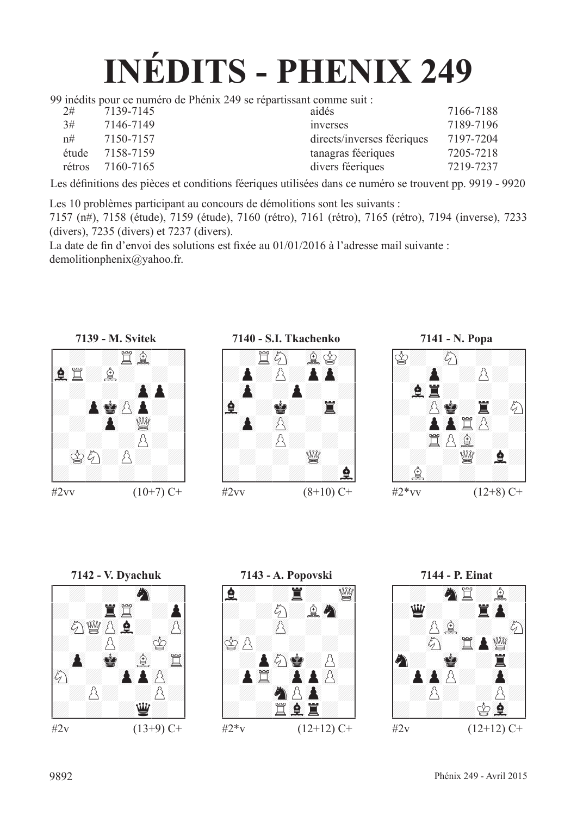## **INÉDITS - PHENIX 249**

99 inédits pour ce numéro de Phénix 249 se répartissant comme suit :

| 2#     | 7139-7145 | aidés                      | 7166-7188 |
|--------|-----------|----------------------------|-----------|
| 3#     | 7146-7149 | <i>s</i> inverses          | 7189-7196 |
| n#     | 7150-7157 | directs/inverses féeriques | 7197-7204 |
| étude  | 7158-7159 | tanagras féeriques         | 7205-7218 |
| rétros | 7160-7165 | divers féeriques           | 7219-7237 |
|        |           |                            |           |

Les définitions des pièces et conditions féeriques utilisées dans ce numéro se trouvent pp. 9919 - 9920

Les 10 problèmes participant au concours de démolitions sont les suivants :

7157 (n#), 7158 (étude), 7159 (étude), 7160 (rétro), 7161 (rétro), 7165 (rétro), 7194 (inverse), 7233 (divers), 7235 (divers) et 7237 (divers).

La date de fin d'envoi des solutions est fixée au 01/01/2016 à l'adresse mail suivante : demolitionphenix@yahoo.fr.











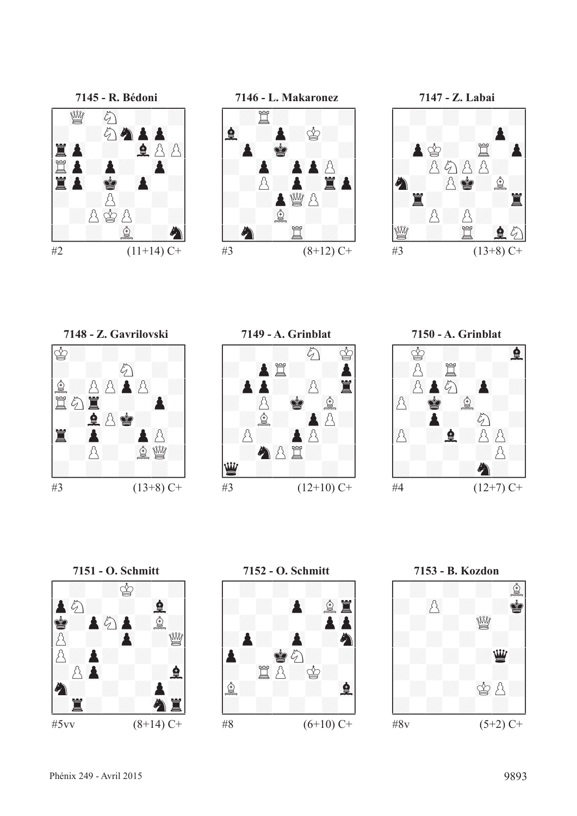



**7147 - Z. Labai<br>
147 - Z. Labai<br>
147 - 2. Labai<br>
25 A<br>
26 A<br>
26 A<br>
26**  $\#3$  (13+8) C+











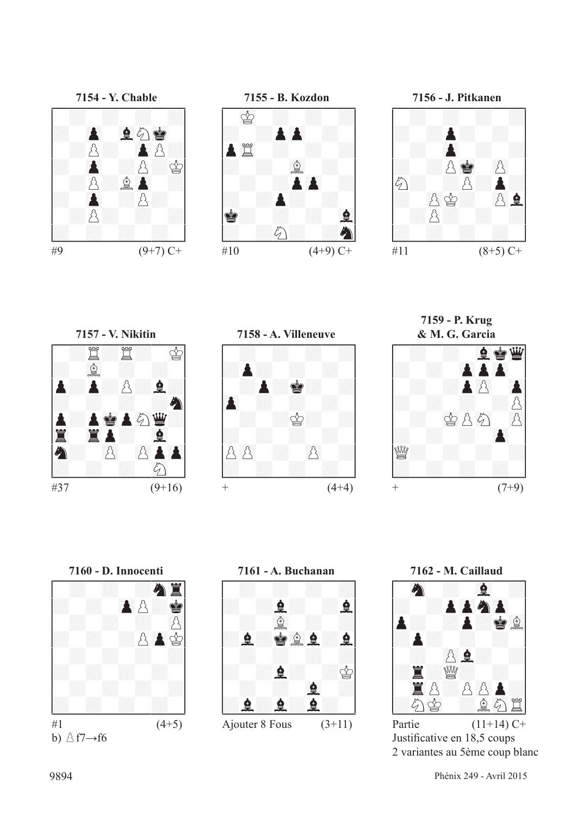







**7157 - V. Nikitin** !--------! / :t:t: 01r/ /: 67f : : / /P:P:p:F:/ /: : : :C/ /P:P01RP89cD:/ /45T 45TP: 67F / /C: ()p ()pP()P/ /: : : 89c / \$\_\_\_\_\_\_\_\_\$



**7159 - P. Krug**



 $#37$   $(9+16)$ 







Justificative en 18,5 coups 2 variantes au 5ème coup blanc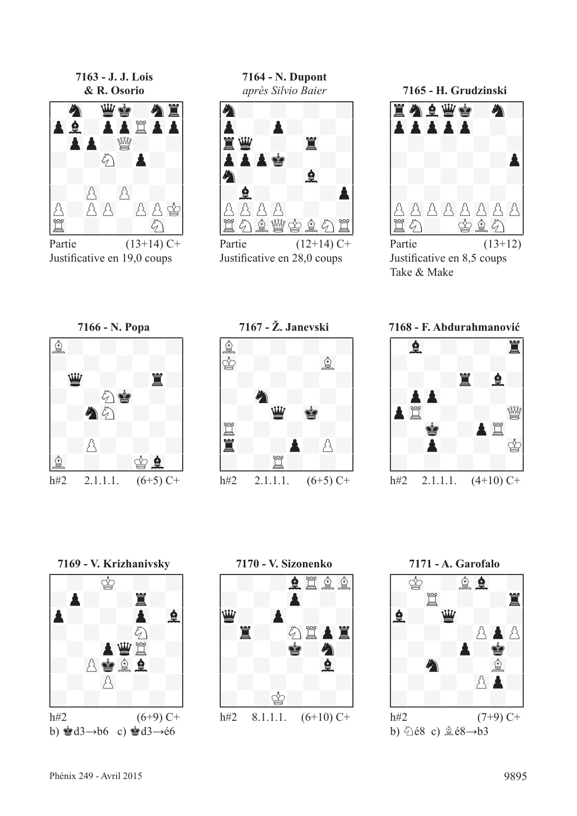**7163 - J. J. Lois**



Partie  $(13+14)$  C+ Justificative en 19,0 coups

**7164 - N. Dupont**



Justificative en 28,0 coups





Justificative en 8,5 coups Take & Make

# **7166 - N. Popa** !--------! /f: : : :/ /: : : : / / 23D : :T:/ /: :c01R : / / :C89c : :/ /: : : : / / :p: : :/ /67f : :r67F / \$\_\_\_\_\_\_\_\_\$

**7167 - Ž. Janevski** !--------! /f: : : :/ /01r : : 67f / / : : : :/ /: 89C : : / / : 23D 01R :/ /45t : : : / /T: :P:p:/ /: :t: : / \$\_\_\_\_\_\_\_\_\$

**7168 - F. Abdurahmanović**



h#2 2.1.1.1.  $(6+5)$  C+



h#2 2.1.1.1.  $(6+5)$  C+





b)  $\hat{\triangle}$ é8 c)  $\hat{\triangle}$ é8→b3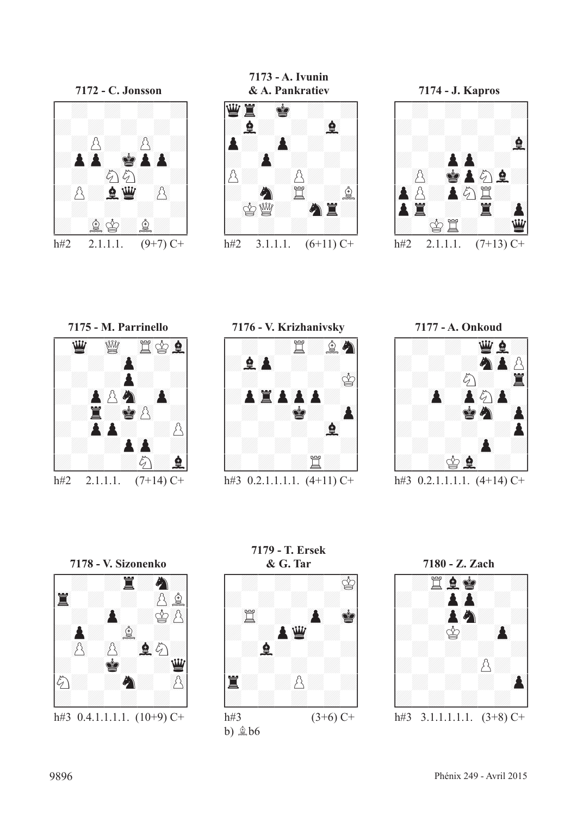

**7173 - A. Ivunin**





**7175 - M. Parrinello<br>
4204**<br>
420<br>
420<u>4</u><br>
420<u>4</u><br>
5209 h#2 2.1.1.1.  $(7+14)$  C+



h#3  $0.2.1.1.1.1.$   $(4+11)$  C+



h#3  $0.2.1.1.1.1.$   $(4+14)$  C+



**7179 - T. Ersek**



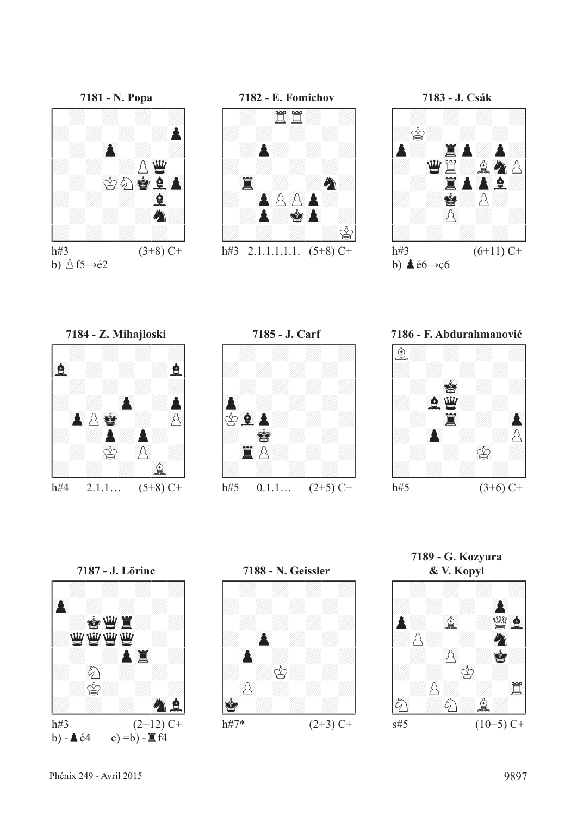



b)  $\triangle$  f5 $\rightarrow$ é2



h#3 2.1.1.1.1.1.  $(5+8)$  C+



**7186 - F. Abdurahmanović**





**7185 - J. Carf** !--------! / : : : :/ /: : : : / / : : : :/ /()P : : : / /r67FP: : :/ /: 01R : : / / 45Tp: : :/ /: : : : / \$\_\_\_\_\_\_\_\_\$ h#5  $0.1.1...$   $(2+5)$  C+



**7188 - N. Geissler** !--------! / : : : :/ /: : : : / / : : : :/ /: ()P : : / / ()P : : :/ /: :r: : / / ()p : : :/ /01R : : : / \$\_\_\_\_\_\_\_\_\$ h#7\* (2+3) C+

**7189 - G. Kozyura**

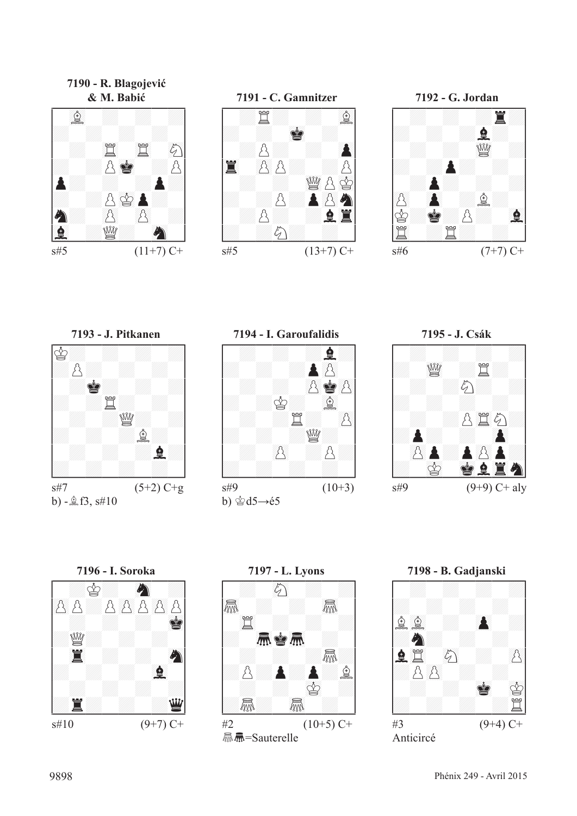**7190 - R. Blagojević**

















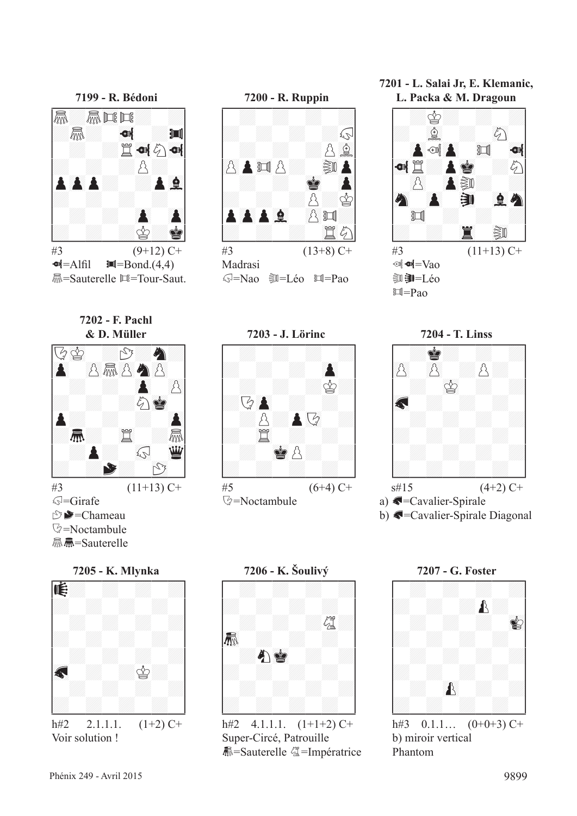



 $\#3$  (9+12) C+  $\blacksquare$ =Alfil  $\blacksquare$ =Bond.(4,4) **M**=Sauterelle ロ=Tour-Saut.







g=Nao uv=Léo y=Pao



**7201 - L. Salai Jr, E. Klemanic, L. Packa & M. Dragoun**



**7204 - T. Linss** !--------! / :R: : :/ /()p ()p :p: / / : 01r : :/ /=?G : : : / / : : : :/ /: : : : / / : : : :/ /: : : : / \$\_\_\_\_\_\_\_\_\$ s#15 (4+2) C+



b) G=Cavalier-Spirale Diagonal



Voir solution !



Super-Circé, Patrouille **暴=Sauterelle 《 =Impératrice** 



b) miroir vertical Phantom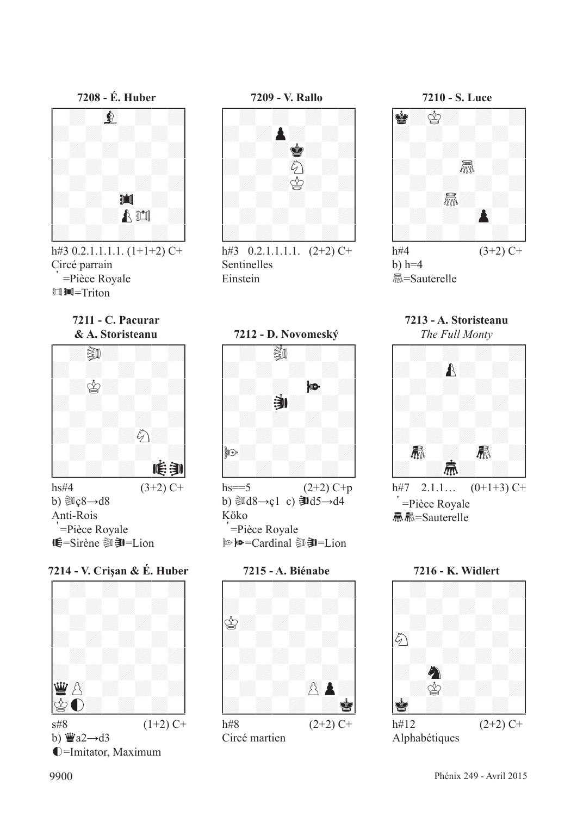



h#3  $0.2.1.1.1.1.$   $(1+1+2)$  C+ Circé parrain =Pièce Royale 回II=Triton



h#3  $0.2.1.1.1.1$ .  $(2+2)$  C+ Sentinelles Einstein



h#4  $(3+2)$  C+  $b)$  h=4 <u></u><del>*m*</u>=Sauterelle</sub></del>

**7211 - C. Pacurar**



b)  $\text{Re}8 \rightarrow d8$ Anti-Rois =Pièce Royale **WE=Sirène** 2020-Lion

**7214 - V. Crişan & É. Huber**



b)  $\ddot{\mathbf{w}}$ a2 $\rightarrow$ d3 í=Imitator, Maximum



hs==5  $(2+2)$  C+p b)  $\text{Id}8 \rightarrow c1$  c)  $\text{Id}5 \rightarrow d4$ Köko =Pièce Royale **No ho=Cardinal コヨニLion** 



**7213 - A. Storisteanu**



Sµ=Sauterelle



Alphabétiques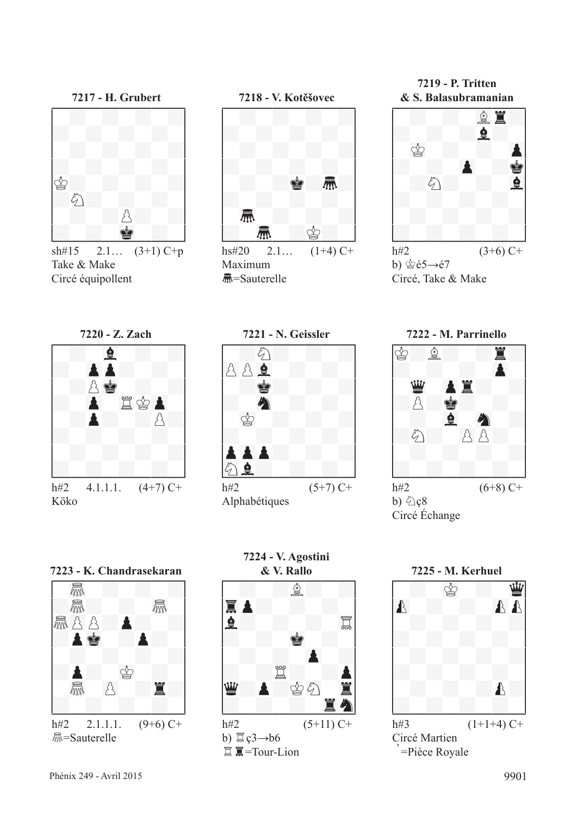

sh#15 2.1...  $(3+1)$  C+p Take & Make Circé équipollent



hs#20 2.1...  $(1+4)$  C+ Maximum S=Sauterelle

**7219 - P. Tritten**



h#2  $(3+6)$  C+ b)  $\dot{\mathcal{E}}$ é5→é7 Circé, Take & Make







Alphabétiques



b)  $\bigcirc$  c<sub>8</sub> Circé Échange



Köko



**赢=Sauterelle** 



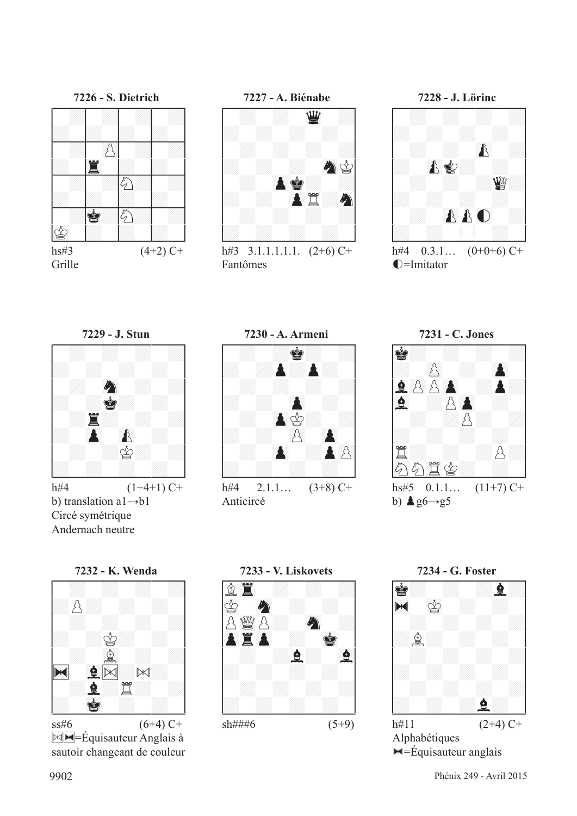



h#3  $3.1.1.1.1.1$ .  $(2+6)$  C+ Fantômes



h#4  $0.3.1...$   $(0+0+6)$  C+  $\rho$ =Imitator



b) translation a1→b1 Circé symétrique Andernach neutre





Anticircé





 $\mathbb{M}$ =Équisauteur Anglais à sautoir changeant de couleur





 $ightharpoonup$ =Équisauteur anglais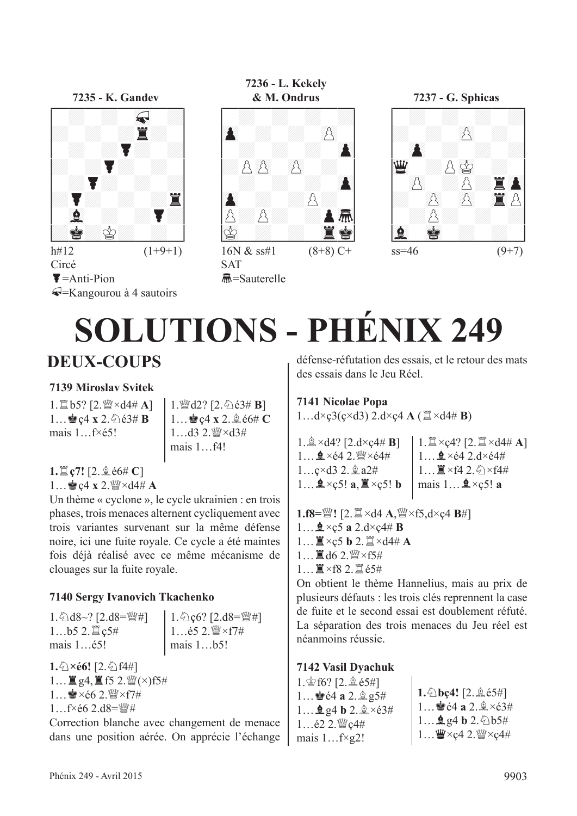

Circé  $\blacktriangleright$ =Anti-Pion Q=Kangourou à 4 sautoirs

# **7236 - L. Kekely**





 $ss=46$  (9+7)

# **SOLUTIONS - PHÉNIX 249**

## **DEUX-COUPS**

#### **7139 Miroslav Svitek**

1. lb5? [2. sky ×d4# **A**] 1... ec4 x 2.  $\angle 63#$  **B** mais 1 f×é5!

1.  $\mathbb{Q}$ d2? [2.  $\Diamond$ e3# **B**] 1... **a** c4 x 2. **a** é6# **C**  $1$  d3 2.  $\mathbb{W} \times d34$ mais 1…f4!

**SAT** 

S=Sauterelle

**1.**t**ç7!** [2.fé6# **C**]  $1...$ ec4 **x** 2. W  $\times$  d4# **A** 

Un thème « cyclone », le cycle ukrainien : en trois phases, trois menaces alternent cycliquement avec trois variantes survenant sur la même défense noire, ici une fuite royale. Ce cycle a été maintes fois déjà réalisé avec ce même mécanisme de clouages sur la fuite royale.

#### **7140 Sergy Ivanovich Tkachenko**

1.  $\&$ d8~? [2.d8= $\&$ #] 1...b5 2. 買c5# mais 1…é5!

 $1.\text{\textcircled{2}.d8}=\text{\textcircled{2}.d8}$  $1...$ é5 2. $\mathbb{W} \times f7$ # mais 1…b5!

 $1.\hat{9} \times 66!$  [2.  $\hat{9}$ ) f4#]  $1...$  $(2.4)$  $(5.2)$  $(4.7)$  $(5.7)$ 1  $\bullet$  ×é6 2  $\mathbb{W}$  × f7#  $1...$ f×é6 2.d8= $\mathbb{W}$ #

Correction blanche avec changement de menace dans une position aérée. On apprécie l'échange défense-réfutation des essais, et le retour des mats des essais dans le Jeu Réel.

#### **7141 Nicolae Popa**

 $1...d \times \mathcal{G}(\mathcal{G} \times d3)$  2.d $\times \mathcal{G}4$  **A** ( $\mathbb{Z} \times d4 \# \mathbf{B}$ )

 $1.\n$  $\& \times d4?$  [2.d $\times c4 \# B$ ]  $1...$  $2 \times 64$   $2$ .  $\frac{64}{3} \times 64$ #  $1...c \times d3$  2.  $2d2t$  $1...$ **2**×ç5! **a**,  $\mathbb{I} \times$ ç5! **b** 

```
1. \mathbb{Z} \times c4? [2. \mathbb{Z} \times d4 \# A]
1 \oplus \times 64 2.d\times 64#
1... \mathbb{I} \timesf4 2. \Diamond \timesf4#
mais 1 \dots \triangle 2 \times c5! a
```

```
1.f8=s ! [2. \mathbb{Z} \times d4 A, \mathbb{W} \times f5, d \times c4 B#]
```

```
1...2 × c5 a 2.d×c4# B
```

```
1...\mathbb{I} \times c5 b 2.\mathbb{I} \times d4# A
```
- $1...$  $\mathbb{Z}$  d6 2.  $\mathbb{W} \times f$ 5#
- 1…T×f8 2.té5#

On obtient le thème Hannelius, mais au prix de plusieurs défauts : les trois clés reprennent la case de fuite et le second essai est doublement réfuté. La séparation des trois menaces du Jeu réel est néanmoins réussie.

#### **7142 Vasil Dyachuk**

| $1.\,$ $\circledast$ f6? [2. $.\,$ $\circledast$ é5#]<br>1 $64a2 \, \n\&\, 95\#$<br>1 $\mathbf{\underline{0}}$ g4 b 2. $\mathbf{\underline{0}} \times 63#$<br>1 $622$ . $\frac{100}{2}$ c $4#$ | 1. $b$ <b>c</b> 4! [2. $\stackrel{6}{\le}$ e5#]<br>1 $\stackrel{6}{\le}$ e4 a 2. $\stackrel{6}{\le}$ $\times$ e3#<br>$1$ <b>4</b> g4 <b>b</b> 2. $\&$ b5# |
|------------------------------------------------------------------------------------------------------------------------------------------------------------------------------------------------|-----------------------------------------------------------------------------------------------------------------------------------------------------------|
| mais $1f\times g2!$                                                                                                                                                                            | $1$ $\frac{w}{2}$ × c4 2. $\frac{w}{2}$ × c4#                                                                                                             |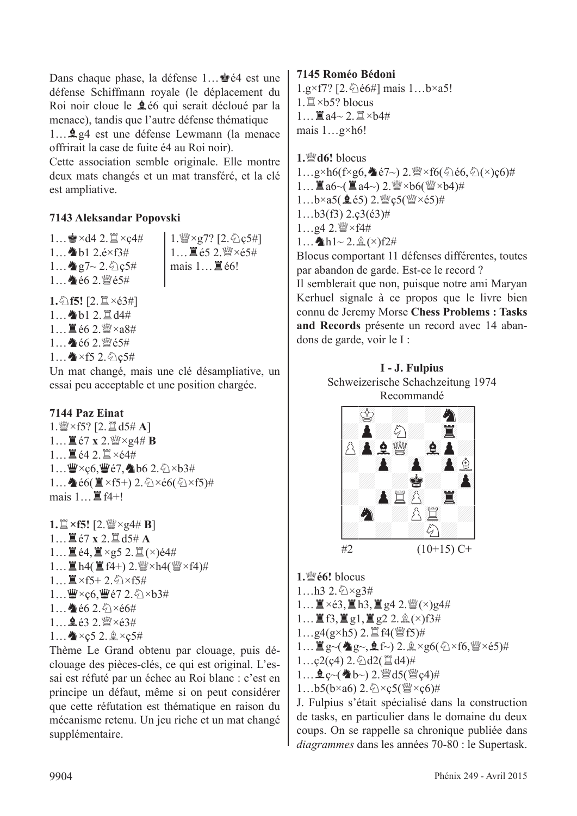Dans chaque phase, la défense 1… lette est une défense Schiffmann royale (le déplacement du Roi noir cloue le **2**66 qui serait décloué par la menace), tandis que l'autre défense thématique 1... **Q** g4 est une défense Lewmann (la menace)

offrirait la case de fuite é4 au Roi noir).

Cette association semble originale. Elle montre deux mats changés et un mat transféré, et la clé est ampliative.

#### **7143 Aleksandar Popovski**

 $1...$  $\bullet$ ×d4 2. $\mathbb{Z}$ ×ç4#  $1...$  b1 2.é×f3#  $1...$   $2.6c5#$ 1... 个é6 2. 暨é5#

1. sex 27? [2. 公c5#]  $1...$  $\mathbb{E}$  é5 2. $\mathbb{W} \times 65#$ mais  $1 \dots \mathbb{Z}$  é6!

**1.**①f5! [2. $\Xi \times 63\#$ ] 1... h1 2. Id4# 1  $\equiv$   $662 \frac{W}{2} \times a8#$  $1...$   $662.$  @  $65#$  $1...$   $\times$  f5 2.  $\circ$  e5#

Un mat changé, mais une clé désampliative, un essai peu acceptable et une position chargée.

#### **7144 Paz Einat**

 $1.$   $\mathbb{W} \times$  f5? [2.  $\mathbb{Z}$  d5# **A**]  $1...$  $\mathbb{Z}$  é7 x 2. $\mathbb{W} \times$ g4# **B**  $1 \n\equiv 64.2 \n\equiv \times 644$ 1… 曹×ç6, 曹é7, ●b6 2. ②×b3# 1… $\triangleq$ é6( $\triangleq \times$ f5+) 2. $\triangleq \times$ é6( $\triangleq \times$ f5)# mais  $1 \dots \mathbb{E} f4+1$ 

 $1. \mathbb{Z} \times$ **f5!**  $[2. \mathbb{W} \times 94 \# B]$ 1... ■ $e7 \times 2.$  ■ d5# A 1... $\mathbb{E}$ é4, $\mathbb{E} \times$ g5 2. $\mathbb{E}$ ( $\times$ )é4#  $1...$   $\mathbb{E}$  h4( $\mathbb{E}$  f4+) 2.  $\mathbb{W} \times$ h4( $\mathbb{W} \times$ f4)#  $1 \dots \mathbb{Z} \times f5 + 2 \cdot \hat{\diamond} \times f5 \#$  $1...$  $\mathbf{W} \times \mathbf{c}$ 6,  $\mathbf{W}$ é7 2. $\Diamond$   $\times$ b3#  $1...$  c6  $2.6 \times 66#$  $1...$   $632$   $\frac{W}{2} \times 63#$  $1...$   $x c 5 2.2 \times c 5#$ 

Thème Le Grand obtenu par clouage, puis déclouage des pièces-clés, ce qui est original. L'essai est réfuté par un échec au Roi blanc : c'est en principe un défaut, même si on peut considérer que cette réfutation est thématique en raison du mécanisme retenu. Un jeu riche et un mat changé supplémentaire.

#### **7145 Roméo Bédoni**

 $1.g \times f7$ ? [2.  $\&$  é6#] mais 1...b×a5!  $1. \mathbb{Z} \times b5$ ? blocus  $1$   $\mathbb{Z}$  a4~ 2  $\mathbb{Z}$  ×b4# mais 1…g×h6!

**1.***<u><sup>₩</sup>d6!</u>* blocus  $1...g\times h6(f\times g6,\triangleq e7\sim)$  2. $\mathcal{Q}\times f6(\triangleleft e6,\triangleleft(\times)e6)\#$  $1...$   $\mathbb{Z}$  a6~( $\mathbb{Z}$  a4~) 2.  $\mathbb{W} \times 66$ ( $\mathbb{W} \times 64$ )#  $1...b \times a5($  皇 é5) 2. 營 ç5( 營 $\times$ é5)#  $1...b3(53)$   $2.c3(63)\#$  $1...$ g4 2. $\frac{30}{2} \times 14$ #  $1...$  h1~  $2.\hat{•}(\times)$ f2# Blocus comportant 11 défenses différentes, toutes par abandon de garde. Est-ce le record ? Il semblerait que non, puisque notre ami Maryan

Kerhuel signale à ce propos que le livre bien connu de Jeremy Morse **Chess Problems : Tasks and Records** présente un record avec 14 abandons de garde, voir le I :





**1.**de**é6!** blocus  $1...h32.6\times 23#$ 

 $1...$   $\mathbb{I} \times 63$ ,  $\mathbb{I}$  h3,  $\mathbb{I}$  g4 2.  $\mathbb{I}$  ( $\times$ )g4#

- $1...$  If  $3$ , If  $g1$ , If  $g2$  2.  $\&(x)$ f3#
- $1...$ g4(g×h5) 2.  $\mathbb{I}$  f4( $\mathbb{W}$ f5)#
- $1...$   $g$ ~( $g$ g~,  $g$ f~) 2. $\frac{6}{2} \times g$ 6( $\frac{6}{2} \times f$ 6, $\frac{10}{2} \times 65$ )#
- $1...c2(c4)$  2.  $\triangle$ d2( $\triangleq$ d4)#
- $1...$   $2 \infty$  (  $\⊂>0$  ) 2.  $\⊂>0$  d5(  $\⊂>0$  c4)#
- $1...b5(b\times a6)$  2.  $\triangle\times c5(\frac{w}{a}\times c6)\#$

J. Fulpius s'était spécialisé dans la construction de tasks, en particulier dans le domaine du deux coups. On se rappelle sa chronique publiée dans *diagrammes* dans les années 70-80 : le Supertask.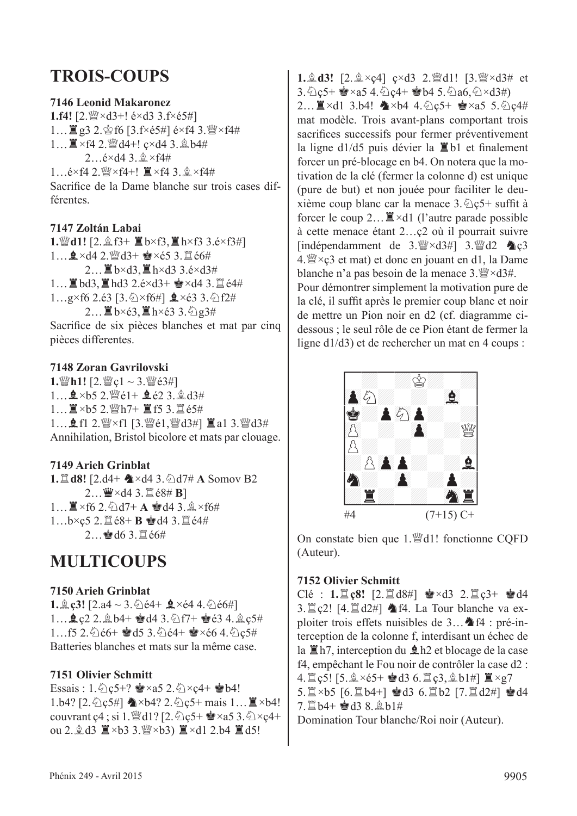#### **TROIS-COUPS**

#### **7146 Leonid Makaronez**

**1.f4!**  $[2 \frac{W}{4} \times d3 + 16 \times d3 \frac{3.6 \times 65 \#1}{4}$ 1...  $\mathbb{Z}$  g3 2.  $\circledcirc$  f6 [3.f×é5#] é×f4 3. $\circledast$ ×f4#  $1...$  $\mathbb{Z} \times 64$  2.  $\mathbb{W}$ d4+!  $c \times d4$  3.  $\mathbb{Q}$  b4#  $2.6 \times d4$  3.  $\×$ f4#  $1...$ é×f4 2. $\mathbb{W}$ ×f4+!  $\mathbb{I}$ ×f4 3. $\&$ ×f4# Sacrifice de la Dame blanche sur trois cases différentes.

#### **7147 Zoltán Labai**

1. |**41!** [2.  $\&$  f3+  $\&$  b×f3,  $\&$  h×f3 3.é×f3#]  $1...$  $2 \times d$ 4 2. $^{w}d$ 3+  $\approx$   $\times$ é5 3. $\Xi$ é6#  $2...$  $\mathbb{Z}$  b×d3,  $\mathbb{Z}$  h×d3 3.é×d3#  $1...$  $\mathbb{Z}$  bd3,  $\mathbb{Z}$  hd3 2.é $\times$ d3+  $\mathbb{Z} \times$ d4 3. $\mathbb{Z}$  é4#  $1...g\times f6$  2.é3 [3. $\Diamond \times f6\#$ ]  $\triangle \times$ é3 3. $\Diamond f2\#$  $2...$  $\mathbb{Z}$  b×é3, $\mathbb{Z}$  h×é3 3. $\Diamond$ g3#

Sacrifice de six pièces blanches et mat par cinq pièces differentes.

#### **7148 Zoran Gavrilovski**

 $1.$ **Wh1!**  $[2.$ **W**<sub>c</sub> $1 \sim 3.$ **W**<sub>e</sub> $63#$ ] 1...  $\mathbf{2} \times 5$  2. @ é1+  $\mathbf{2}$  é2 3. @ d3#  $1...$  $\cancel{1} \times b$ 5 2.  $\cancel{w}$ h7+ $\cancel{1}$ f5 3.  $\cancel{1}$ é5# 1... **g** f1 2. *s* × f1 [3. s é1, s g d3#] ■ a1 3. s g d3# Annihilation, Bristol bicolore et mats par clouage.

#### **7149 Arieh Grinblat**

**1.** $\mathbb{Z}$ **d8!**  $[2. d4 + \mathbb{Z} \times d4$  3.  $\Diamond d7 \# \mathbb{A}$  Somov B2  $2...$  $\mathbf{W} \times d4$  3.  $\mathbf{X} \in \mathbf{8} \# \mathbf{B}$  $1...$  $X \times$ f6 2.  $\odot$ d7+ **A**  $\bullet$ d4 3.  $\circledA \times$ f6# 1...b×ç5 2.  $\Xi$ é8+ **B** @d4 3.  $\Xi$ é4#  $2...$ ed6 3. $\varepsilon$ é6#

#### **MULTICOUPS**

#### **7150 Arieh Grinblat**

**1.** $\hat{\mathbb{Q}}$  **c3!**  $[2.a4 \sim 3.\hat{\odot}$  é4+  $\hat{\mathbb{Q}} \times 64.4.\hat{\odot}$  é6#]  $1...$   $2c2$  2.  $2bd+$   $d4$  3.  $\hat{2}f7+$   $d63$  4.  $2c5\#$ 1...f5 2. $\&$ e6+  $\&$ d5 3. $\&$ e4+  $\&$ ×é6 4. $\&$ c5# Batteries blanches et mats sur la même case.

#### **7151 Olivier Schmitt**

Essais : 1.  $\&c5+$ ?  $\&x35$  2.  $\&x4+ \&b4!$ 1.b4? [2. ①c5#] ▲×b4? 2. ①c5+ mais 1… ■×b4! couvrant c4 : si 1.  $\mathbb{Q}$ d1? [2. $\Diamond$ c5+  $\mathbb{Q} \times$ a5 3. $\Diamond$   $\times$ c4+ ou 2. $\triangleq$  d3  $\triangleq \times$ b3 3. $\cong \times$ b3)  $\triangleq \times$ d1 2.b4  $\triangleq$  d5!

**1.** $\hat{\mathbb{Q}}$ **d3!** [2. $\hat{\mathbb{Q}} \times c4$ ]  $c \times d3$  2. $\hat{\mathbb{Q}}$ d1! [3. $\hat{\mathbb{Q}} \times d3$ # et  $3.\overline{Q}$ c5+  $\dot{Q} \times a5$  4. $\overline{Q}$ c4+  $\dot{Q}$ b4 5. $\overline{Q}$ a6, $\overline{Q} \times d3\ddot{t}$ )  $2...$  $\mathbb{Z} \times d1$  3.b4!  $\mathbb{A} \times b4$  4.  $\odot$  c5+  $\mathbb{Q} \times a5$  5.  $\odot$  c4# mat modèle. Trois avant-plans comportant trois sacrifices successifs pour fermer préventivement la ligne d $1/d5$  puis dévier la  $\Xi$ b1 et finalement forcer un pré-blocage en b4. On notera que la motivation de la clé (fermer la colonne d) est unique (pure de but) et non jouée pour faciliter le deuxième coup blanc car la menace  $3.\textcircled{2}c5+$  suffit à forcer le coup  $2... \mathbb{Z} \times d1$  (l'autre parade possible à cette menace étant 2…ç2 où il pourrait suivre  $\left[\text{independent de } 3. \mathcal{W} \times d3\# \right] 3. \mathcal{W} d2 \blacktriangleleft c3$  $4.$ uessa $\approx$ ç3 et mat) et donc en jouant en d1, la Dame blanche n'a pas besoin de la menace  $3.$  W  $\times$  d $3\#$ . Pour démontrer simplement la motivation pure de la clé, il suffit après le premier coup blanc et noir de mettre un Pion noir en d2 (cf. diagramme cidessous ; le seul rôle de ce Pion étant de fermer la



ligne d1/d3) et de rechercher un mat en 4 coups :

On constate bien que 1. del! fonctionne CQFD (Auteur).

#### **7152 Olivier Schmitt**

 $Cl\acute{e}$  :  $1.\Xi$   $c8$ !  $[2.\Xi$   $d8\#$ ]  $\bullet \times d3$  2. $\Xi$   $c3+$   $\bullet$   $d4$ 3. $\mathbb{Z}$  c2! [4. $\mathbb{Z}$  d2#]  $\mathbb{Z}$  f4. La Tour blanche va exploiter trois effets nuisibles de  $3 \dots 4$  f4 : pré-interception de la colonne f, interdisant un échec de la  $\Xi$ h7, interception du  $\triangle$ h2 et blocage de la case f4, empêchant le Fou noir de contrôler la case d2 : 4.  $\mathbb{Z}$  c5! [5.  $\& \times 65+ \& d3 \cdot 6$ .  $\mathbb{Z}$  c3,  $\& b1\#$ ]  $\mathbb{Z} \times g7$  $5.12 \times b5$  [6.12b4+]  $\bullet d3$  6.12b2 [7.12d2#]  $\bullet d4$  $7.14 + 138.9 h1#$ 

Domination Tour blanche/Roi noir (Auteur).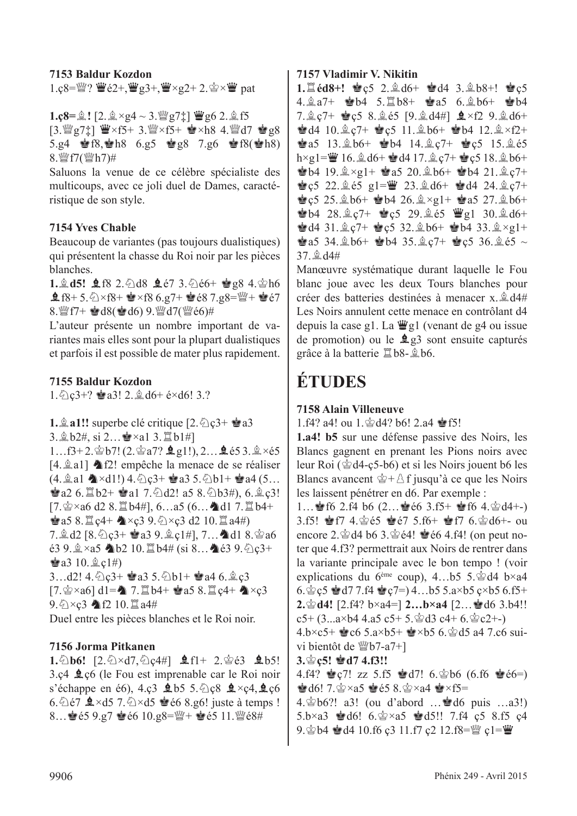**7153 Baldur Kozdon** 1.ç8= $\mathbb{W}$ ?  $\mathbb{W}$ é2+, $\mathbb{W}$ g3+, $\mathbb{W} \times$ g2+ 2. $\mathbb{Q} \times \mathbb{W}$  pat

#### $1.\text{c}8 = 2! [2 \text{ s} \times 24 \sim 3 \text{ m} \text{ g}7\text{ t}] \text{ Wg}6 2 \text{ s}5$

 $[3.$  @g7 $\ddagger]$   $\ddot{w} \times f5+ 3.$  @ $\times$ f5+  $\dot{w} \times h8$  4. @ $d7$   $\dot{w}$  g8 5.g4  $\bullet$  f8,  $\bullet$  h8 6.g5  $\bullet$  g8 7.g6  $\bullet$  f8( $\bullet$  h8) 8.  $\frac{W}{2}f7(\frac{W}{2}h7)$ #

Saluons la venue de ce célèbre spécialiste des multicoups, avec ce joli duel de Dames, caractéristique de son style.

#### **7154 Yves Chable**

Beaucoup de variantes (pas toujours dualistiques) qui présentent la chasse du Roi noir par les pièces blanches.

**1.g** d5! **g** f8 2. \d8 **g** e7 3. \de6+  $\dot{\mathbf{e}}$  g8 4. \def6  $\pm$  f8+ 5.  $\×$  f8+  $\bullet \times$  f8 6.g7+  $\bullet$  é8 7.g8= $\frac{100}{4}$ +  $\bullet$  é7 8.  $\frac{m}{2}f$  +  $\frac{m}{2}d8$ ( $\frac{m}{2}d6$ ) 9.  $\frac{m}{2}d7$ ( $\frac{m}{2}e6$ )#

L'auteur présente un nombre important de variantes mais elles sont pour la plupart dualistiques et parfois il est possible de mater plus rapidement.

#### **7155 Baldur Kozdon**

 $1.\overline{\Diamond}$  c<sub>3</sub>+?  $\dot{a}$ a3!  $2.\dot{a}$  d6+ é×d6! 3.?

**1.**  $\hat{\mathbb{Z}}$  **a1!!** superbe clé critique  $[2, \hat{\mathbb{Z}} \setminus \mathbb{C}3 + \hat{\mathbb{Z}} \setminus \mathbb{C}3]$ 3.  $\&b2\#$ , si 2… $\&b2\#$  \al 3.  $\&b1\#$ ]  $1...f3+2.\Phi b7! (2.\Phi a7? \triangle g1!)$ ,  $2... \triangle g653.\Phi \times 65$  $[4, \hat{\mathbb{Z}} \text{a}1]$   $\triangleq$  f2! empêche la menace de se réaliser  $(4. \triangle a1 \triangle A \times d1!)$  4.  $\odot$  c<sub>3</sub>+  $\triangle a3$  5.  $\odot$  b1+  $\triangle a4$  (5...  $\bullet$  a2 6.  $\uparrow$  b2+  $\bullet$  a1 7.  $\circ$  d2! a5 8.  $\circ$  b3#), 6.  $\circ$  c3!  $[7.2 \times 26 \, d2 \, 8.1]$  b4#], 6…a5 (6…ad1 7. 1) b4+  $\bullet$  a5 8.  $\mathbb{Z}$  c4+  $\bullet$  × c3 9.  $\Diamond$  × c3 d2 10.  $\mathbb{Z}$  a4#)  $7.2 d2 [8.62c3 + 123 9.2c14], 7...$ adl $8.266$  $e39.$   $\× a5$  nb2 10.  $\mathbb{Z}$  b4# (si 8…ne e3 9.  $\odot$  c3+  $\bullet$  a3 10.  $\&$  c1#) 3...d2!  $4.\overline{Q}$  $c3+$   $\bullet$  a3 5. $\overline{Q}$ b1+  $\bullet$  a4 6. $\stackrel{\triangle}{E}$  $c3$  $[7. \& \times a6]$  d1= $\bullet$  7. the  $b4+ \& a5 \& 8$ . the  $c4+ \& \times c3$  $9.6 \times c3$  12 10. a4#

Duel entre les pièces blanches et le Roi noir.

#### **7156 Jorma Pitkanen**

**1.** $\Phi$ **b6!** [2. $\Phi$ ×d7. $\Phi$ c4#] **Q**f1+ 2. $\Phi$ é3 **Q**b5!  $3.c4 \trianglelefteq c6$  (le Fou est imprenable car le Roi noir s'échappe en é6), 4.ç3  $\text{\textsterling} b5$  5. $\text{\textsterling} c8$   $\text{\textsterling} \times c4$ ,  $\text{\textsterling} c6$ 6.  $\triangle$ é7  $\triangle$  ×d5 7.  $\triangle$  ×d5  $\triangle$ é6 8.g6! juste à temps ! 8... @ 65 9.g7 @ 66 10.g8= $\frac{W}{4}$ + @ 65 11. $\frac{W}{2}$ 68#

#### **7157 Vladimir V. Nikitin**

**1.**  $\angle$ **éd8+! 曾ç5 2.**  $\angle$ **d6+ 曾d4 3.**  $\angle$ **b8+! 曾ç5**  $4.\hat{2}a7+$   $\bullet b4$  5. $\hat{2}b8+$   $\bullet a5$  6. $\hat{2}b6+$   $\bullet b4$ 7.  $\hat{g}$  c7+  $\hat{g}$  c5 8.  $\hat{g}$  é5 [9.  $\hat{g}$  d4#]  $\hat{g} \times f2$  9.  $\hat{g}$  d6+  $\bullet$  d4 10.  $\&c7+$   $\bullet$  c5 11.  $\&b6+$   $\bullet$  b4 12.  $\&\times$  f2+  $\pm a5$  13. $\pm b6$ +  $\pm b4$  14. $\pm c7$ +  $\pm c5$  15. $\pm c5$  $h \times g1 = \frac{m}{2} 16.$  $\frac{6}{3} d6 + \frac{6}{3} d4 17.$  $\frac{6}{3} c7 + \frac{6}{3} c5 18.$  $\frac{6}{3} b6 +$ **C**b4 19. $\hat{p} \times g1 +$  **C**as 20. $\hat{p}$  b6+ C<sup>b</sup>4 21. $\hat{p}$  c<sup>7+</sup>  $\bullet$  c5 22.  $\&$  e5 g1= $\&$  23.  $\&$  d6+  $\bullet$  d4 24.  $\&$  c7+  $\angle$ c5 25. $\angle$ b6+  $\angle$ b4 26. $\angle$ ×g1+  $\angle$ a5 27. $\angle$ b6+  $\bullet$  b4 28.  $\&c7+$   $\bullet$  c5 29.  $\&e5$   $\&$  g1 30.  $\&d6+$  $\pm$  d4 31. $\pm$  c7+  $\pm$  c5 32. $\pm$  b6+  $\pm$  b4 33. $\pm$  ×g1+  $\dot{\mathbf{g}}$ a5 34. $\dot{\mathbf{g}}$ b6+  $\dot{\mathbf{g}}$ b4 35. $\dot{\mathbf{g}}$ c7+  $\dot{\mathbf{g}}$ c5 36. $\dot{\mathbf{g}}$ é5 ~  $37.9d4#$ 

Manœuvre systématique durant laquelle le Fou blanc joue avec les deux Tours blanches pour créer des batteries destinées à menacer x. $\hat{\mathbb{Q}}$ d4# Les Noirs annulent cette menace en contrôlant d4 depuis la case g1. La  $\ddot{\mathbf{w}}$ g1 (venant de g4 ou issue de promotion) ou le  $\angle$  g<sub>3</sub> sont ensuite capturés grâce à la batterie  $\mathbb{Z}$ b8- $\mathbb{\hat{A}}$ b6.

## **ÉTUDES**

#### **7158 Alain Villeneuve**

1.f4? a4! ou  $1.\n$ g d4? b6! 2.a4  $\bullet$  f5!

**1.a4! b5** sur une défense passive des Noirs, les Blancs gagnent en prenant les Pions noirs avec leur Roi ( $\triangleleft$ d4-ç5-b6) et si les Noirs jouent b6 les Blancs avancent  $\hat{\mathscr{Q}}$ + $\hat{\triangle}$  f jusqu'à ce que les Noirs les laissent pénétrer en d6. Par exemple :

1... **16 2.f4 b6 (2...**  $\neq 66$  3.f5+  $\neq$  f6 4. $\circledcirc$  d4+-) 3.f5!  $\bullet$  f7 4. $\circledcirc$  65  $\bullet$  67 5.f6+  $\bullet$  f7 6. $\circledcirc$  d6+- ou encore 2. $\dot{\mathcal{Q}}$ d4 b6 3. $\dot{\mathcal{Q}}$ é4!  $\dot{\mathcal{Q}}$ é6 4.f4! (on peut noter que 4.f3? permettrait aux Noirs de rentrer dans la variante principale avec le bon tempo ! (voir explications du 6<sup>ème</sup> coup), 4...b5 5. $\dot{\mathbb{E}}$ d4 b×a4 6. $\angle$ c5  $\angle$ d7 7.f4  $\angle$ c7=) 4...b5 5.a×b5 c×b5 6.f5+ **2.** $\mathbf{\hat{\Phi}}$ **d4!** [2.f4? b×a4=] **2...b×a4** [2... $\mathbf{\hat{\Phi}}$  d6 3.b4!! c5+  $(3...a \times b4 4.a5 c5 + 5.\&d3 c4 + 6.\&c2+$ -)  $4.5 \times c5+$   $\bullet$   $c6.5 \times c5+$   $\bullet$   $\times$   $b5.6 \times c5.4$  a4 7.c6 sui-

vi bientôt de  $Wb7-a7+$ ]

**3.**r**ç5!** R**d7 4.f3!!**

4.f4?  $\leq c7!$  zz 5.f5  $\leq d7!$  6. $\leq b6$  (6.f6  $\leq e6=$ )  $\bullet$  d6! 7. $\circ$  xa5  $\bullet$  e65 8. $\circ$  xa4  $\bullet$  xf5= 4. $\dot{\mathbb{E}}$ b6?! a3! (ou d'abord … $\dot{\mathbb{E}}$ d6 puis …a3!)

5.b×a3  $\bullet$ d6! 6. $\circledast$ ×a5  $\bullet$ d5!! 7.f4 c5 8.f5 c4 9. $\circledcirc$  b4  $\circledcirc$  d4 10.f6 c3 11.f7 c2 12.f8= $\circledcirc$  c1= $\circledcirc$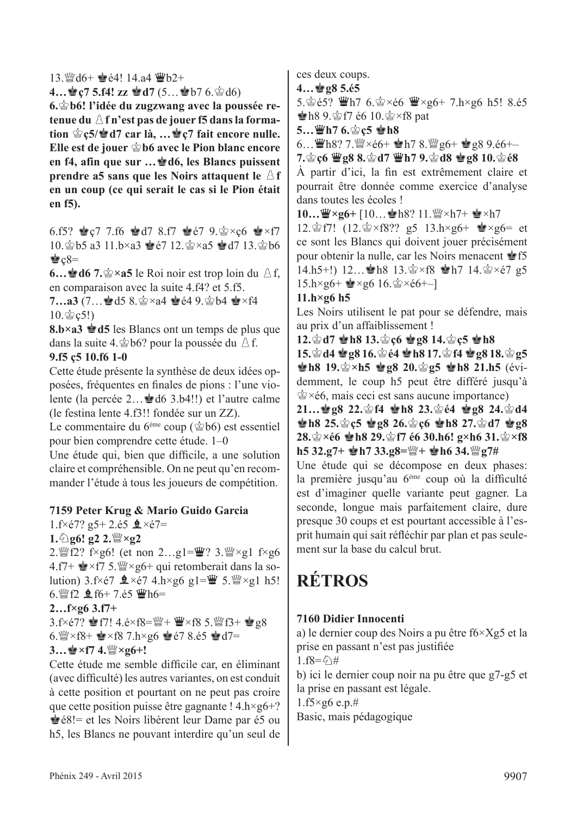**4…\endefinity** c7 5.f4! zz \endefinition d7 (5…\endefinition)

**6.** Solesting block by the contract the view of the view of the poussie of the **block**  $\mathbf{r}$ tenue du  $\triangle$  f n'est pas de jouer f5 dans la forma**tion ☆c5/☆d7 car là, …※c7 fait encore nulle.** Elle est de jouer  $\dot{\otimes}$  b6 avec le Pion blanc encore **en f4, afin que sur …**R**d6, les Blancs puissent prendre a5 sans que les Noirs attaquent le**  $\Delta$ **f en un coup (ce qui serait le cas si le Pion était en f5).**

6.f5?  $\bullet$  c7 7.f6  $\bullet$  d7 8.f7  $\bullet$  e7 9. $\bullet$  × c6  $\bullet$  × f7 10. b5 a3 11.b×a3 @e7 12. s2×a5 @d7 13. s2b6  $\cdot$ e $c8=$ 

**6... de** 7.  $\circledast \times a5$  le Roi noir est trop loin du  $\land$  f, en comparaison avec la suite 4.f4? et 5.f5.

7...a3 (7... a3 d5 8. s × a4 · e é 4 9. s b4 · × f4  $10.$  $\&c5!)$ 

**8.b×a3 ≌ d5** les Blancs ont un temps de plus que dans la suite 4. $\&$ b6? pour la poussée du  $\&$  f. **9.f5 ç5 10.f6 1-0**

Cette étude présente la synthèse de deux idées opposées, fréquentes en finales de pions : l'une violente (la percée 2... voltó 3.b4!!) et l'autre calme

(le festina lente 4.f3!! fondée sur un ZZ).

Le commentaire du  $6^{\text{eme}}$  coup ( $\dot{\text{c}}$ b6) est essentiel pour bien comprendre cette étude. 1–0

Une étude qui, bien que difficile, a une solution claire et compréhensible. On ne peut qu'en recommander l'étude à tous les joueurs de compétition.

#### **7159 Peter Krug & Mario Guido Garcia**

 $1.f \times 67?$  g5+ 2.65  $\triangle \times 67=$ 

**1.**①g6! g2 2.<sup>��</sup>×g2

2. [PHerefore]  $2 \cdot \frac{m}{2}$  f×g6! (et non 2...g1= $\frac{m}{2}$ ? 3. [PHerefore] f×g6 4.f7+  $\bullet$  ×f7 5. W ×g6+ qui retomberait dans la solution)  $3.5 \times 67$   $\& \times 67$   $4. h \times 96$   $g1 = \frac{100}{3} \times 5. \frac{100}{3} \times g1$  h5! 6.  $\mathbb{W}$  f2  $\mathbf{\underline{0}}$  f6+ 7.é5  $\mathbb{W}$ h6=

#### **2…f×g6 3.f7+**

3.f×é7? @f7! 4.é×f8= $\mathbb{W}$ +  $\mathbb{W}$ ×f8 5. $\mathbb{W}$ f3+ @g8 6. $\frac{36}{2} \times$ f8+  $\approx$   $\times$ f8 7.h $\times$ g6  $\approx$  é7 8.é5  $\approx$  d7=  $3...$  $\cdot$ **x**f7 4. $\cdot$ **W** $\times$ **g**6+!

Cette étude me semble difficile car, en éliminant (avec difficulté) les autres variantes, on est conduit à cette position et pourtant on ne peut pas croire que cette position puisse être gagnante !  $4.h \times g6+?$ Ré8!= et les Noirs libèrent leur Dame par é5 ou h5, les Blancs ne pouvant interdire qu'un seul de ces deux coups.

**4…**R**g8 5.é5** 

5. $\circ$ 65?  $\mathbf{W}$ h7 6. $\circ$ ×é6  $\mathbf{W} \times 96+$  7.h×g6 h5! 8.é5  $\pm$ h8 9. $\pm$ f7 é6 10. $\pm$ ×f8 pat

**5…曾h7 6.當c5 會h8** 

6...  $\mathbf{\ddot{w}}$ h8? 7. $\mathbf{\ddot{w}} \times 66+ \mathbf{\dot{w}}$ h7 8. $\mathbf{\ddot{w}}$ g6+  $\mathbf{\dot{w}}$ g8 9.é6+–

**7. 宫c6 曹g8 8. 宫d7 曹h7 9. 宫d8 曹g8 10. 宫é8** 

À partir d'ici, la fin est extrêmement claire et pourrait être donnée comme exercice d'analyse dans toutes les écoles !

**10…曾×g6+** [10…會h8? 11. 曾×h7+ 會×h7

12.  $\circ$  f7! (12.  $\circ$  × f8?? g5 13.h×g6+  $\bullet$  × g6= et ce sont les Blancs qui doivent jouer précisément pour obtenir la nulle, car les Noirs menacent  $\triangleq$  f5 14.h5+!) 12... h8 13. $\circ$  xf8 h7 14. $\circ$  xé7 g5  $15. h \times g6 + \cong g6 16. \cong \times 66 + -1$ 

#### **11.h×g6 h5**

Les Noirs utilisent le pat pour se défendre, mais au prix d'un affaiblissement !

**12.**r**d7** R**h8 13.**r**ç6** R**g8 14.**r**ç5** R**h8**

**15.**r**d4** R**g8 16.**r**é4** R**h8 17.**r**f4** R**g8 18.**r**g5 Ph8 19.** $\circledcirc \times h5$  **P**  $gg8$  20. $\circledcirc$  **g5 Ph8 21.h5** (évidemment, le coup h5 peut être différé jusqu'à  $\dot{\mathcal{L}} \times \acute{\mathcal{E}}$ 6, mais ceci est sans aucune importance)

**21…會g8 22.會f4 會h8 23.會é4 會g8 24.會d4**  $\frac{1}{2}$ h8 25. $\frac{1}{2}$ c5  $\frac{1}{2}$ g8 26. $\frac{1}{2}$ c6  $\frac{1}{2}$ h8 27. $\frac{1}{2}$ d7  $\frac{1}{2}$ g8 **28.** $\circledcirc$  ×é6  $\circledcirc$  h8 29. $\circledcirc$  f7 é6 30.h6! g×h6 31. $\circledcirc$  ×f8 **h5 32.g7+**  $\mathbf{\hat{\bullet}}$  **h7 33.g8=** $\mathbb{W}$ **+**  $\mathbf{\hat{\bullet}}$  **h6 34.** $\mathbb{W}$ **g7#** 

Une étude qui se décompose en deux phases: la première jusqu'au 6ème coup où la difficulté est d'imaginer quelle variante peut gagner. La seconde, longue mais parfaitement claire, dure presque 30 coups et est pourtant accessible à l'esprit humain qui sait réfléchir par plan et pas seulement sur la base du calcul brut.

## **RÉTROS**

#### **7160 Didier Innocenti**

a) le dernier coup des Noirs a pu être f6×Xg5 et la prise en passant n'est pas justifiée

 $1.$ f8= $\frac{5}{4}$ #

b) ici le dernier coup noir na pu être que g7-g5 et la prise en passant est légale.

 $1.f5\times g6$  e.p.#

Basic, mais pédagogique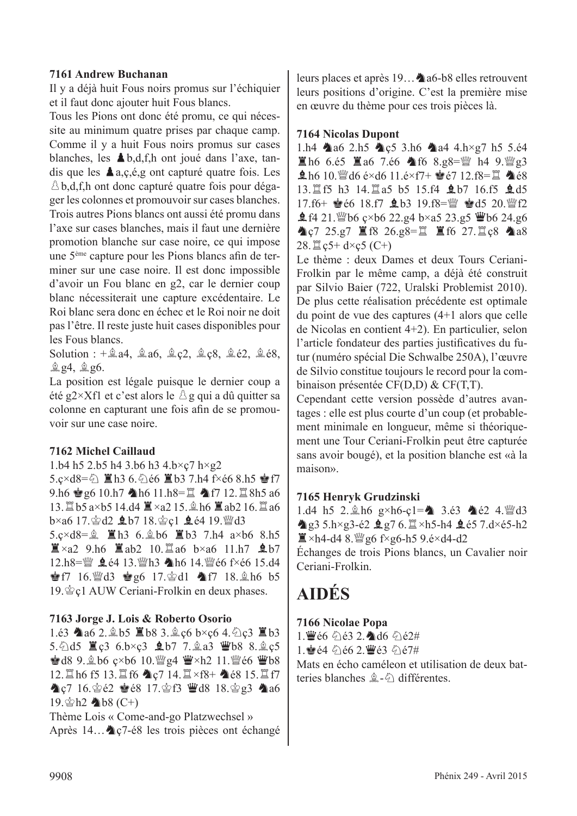#### **7161 Andrew Buchanan**

Il y a déjà huit Fous noirs promus sur l'échiquier et il faut donc ajouter huit Fous blancs.

Tous les Pions ont donc été promu, ce qui nécessite au minimum quatre prises par chaque camp. Comme il y a huit Fous noirs promus sur cases blanches, les  $\triangle$ b,d,f,h ont joué dans l'axe, tandis que les  $\triangle a$ ,  $c$ ,  $\acute{e}$ ,  $g$  ont capturé quatre fois. Les  $\triangle$  b,d,f,h ont donc capturé quatre fois pour dégager les colonnes et promouvoir sur cases blanches. Trois autres Pions blancs ont aussi été promu dans l'axe sur cases blanches, mais il faut une dernière promotion blanche sur case noire, ce qui impose une 5ème capture pour les Pions blancs afin de terminer sur une case noire. Il est donc impossible d'avoir un Fou blanc en g2, car le dernier coup blanc nécessiterait une capture excédentaire. Le Roi blanc sera donc en échec et le Roi noir ne doit pas l'être. Il reste juste huit cases disponibles pour les Fous blancs.

Solution :  $+\hat{A}$ a4,  $\hat{A}$ a6,  $\hat{A}$ c2,  $\hat{A}$ c8,  $\hat{A}$ é2,  $\hat{A}$ é8,  $g$  g4,  $g$  g6.

La position est légale puisque le dernier coup a été g2×Xf1 et c'est alors le  $\triangle$  g qui a dû quitter sa colonne en capturant une fois afin de se promouvoir sur une case noire.

#### **7162 Michel Caillaud**

1.b4 h5 2.b5 h4 3.b6 h3 4.b×ç7 h×g2  $5.c \times d8 = \frac{6}{2}$   $\Box$  h3 6.  $\Diamond$  é6  $\Box$  b3 7.h4 f $\times$  é6 8.h5  $\circ$  f7 9.h6  $\bullet$  g6 10.h7  $\bullet$  h6 11.h8= $\Xi$   $\bullet$  f7 12. $\Xi$  8h5 a6 13.  $\mathbb{Z}$  b5 a×b5 14.d4  $\mathbb{Z}$  ×a2 15.  $\mathbb{A}$  h6  $\mathbb{Z}$  ab2 16.  $\mathbb{Z}$  a6  $b \times a6$  17. $c$  $d2$   $dD$  7 18. $c$  $c1$   $d$   $e4$  19. $c$  $d3$ 5.c×d8= $\hat{z}$   $\hat{z}$ h3 6. $\hat{z}$ b6  $\hat{z}$ b3 7.h4 a×b6 8.h5  $\mathbb{Z} \times a2$  9.h6  $\mathbb{Z}$ ab2 10. $\mathbb{Z}$ a6 b×a6 11.h7  $\mathbf{\hat{L}}$ b7 12.h8= $\mathbb{W}$  **g** é4 13. $\mathbb{W}$ h3 h6 14. $\mathbb{W}$ é6 f×é6 15.d4 **Pf7** 16. ded3 **Pg6** 17. and **Af7** 18. ah6 b5 19.  $Q$ c1 AUW Ceriani-Frolkin en deux phases.

#### **7163 Jorge J. Lois & Roberto Osorio**

1.63  $\triangle$ a6 2. $\triangle$ b5  $\triangle$ b8 3. $\triangle$ c6 b×c6 4. $\triangle$ c3  $\triangle$ b3 5.  $\triangle$ d5  $\cong$ c3 6.b×c3  $\triangle$ b7 7.  $\triangleq$ a3  $\cong$ b8 8.  $\triangleq$ c5  $\triangleq$  d8 9. $\triangleq$  b6  $\varsigma$ ×b6 10. $\angle$ g4  $\angle$  ×h2 11. $\angle$ gé6  $\angle$  b8 12.  $\angle$ h6 f5 13. $\angle$ f6  $\angle$ q7 14. $\angle$ xf8+  $\angle$ é8 15. $\angle$ f7  $\triangle$  c7 16.  $\triangle$  é2 é8 17.  $\triangle$  f3  $\triangle$  d8 18.  $\triangle$  g3  $\triangle$  a6  $19.$   $h2 \triangleleft b8$  (C+)

Thème Lois « Come-and-go Platzwechsel » Après 14...  $\triangleleft$  c7-é8 les trois pièces ont échangé leurs places et après  $19...$  a6-b8 elles retrouvent leurs positions d'origine. C'est la première mise en œuvre du thème pour ces trois pièces là.

#### **7164 Nicolas Dupont**

1.h4  $\triangle$ a6 2.h5  $\triangle$ c5 3.h6  $\triangle$ a4 4.h×g7 h5 5.é4  $\Xi$ h6 6.é5  $\Xi$ a6 7.é6  $\triangle$ f6 8.g8= $\mathbb{W}$  h4 9. $\mathbb{W}$ g3  $\pm$  h6 10. Wid6 é×d6 11.é×f7+  $\pm$ é7 12.f8= $\pm$  4é8 13. The h3 14. Tha5 b5 15.f4 **Q** b7 16.f5 **Q** d5 17.f6+  $\bullet$  66 18.f7  $\bullet$  b3 19.f8= $\mathbb{W}$   $\bullet$  d5 20. $\mathbb{W}$ f2  $\text{\textsterling}$  f4 21. Wb6  $\text{\textsterling}$ ×b6 22.g4 b×a5 23.g5 Wb6 24.g6  $\triangle$ c7 25.g7  $\triangleq$  f8 26.g8= $\triangleq$   $\triangleq$  f6 27. $\triangleq$ c8  $\triangleq$ a8 28.  $\Xi$  c5+ d×c5 (C+)

Le thème : deux Dames et deux Tours Ceriani-Frolkin par le même camp, a déjà été construit par Silvio Baier (722, Uralski Problemist 2010). De plus cette réalisation précédente est optimale du point de vue des captures (4+1 alors que celle de Nicolas en contient 4+2). En particulier, selon l'article fondateur des parties justificatives du futur (numéro spécial Die Schwalbe 250A), l'œuvre de Silvio constitue toujours le record pour la combinaison présentée CF(D,D) & CF(T,T).

Cependant cette version possède d'autres avantages : elle est plus courte d'un coup (et probablement minimale en longueur, même si théoriquement une Tour Ceriani-Frolkin peut être capturée sans avoir bougé), et la position blanche est «à la maison».

#### **7165 Henryk Grudzinski**

1.d4 h5 2. $\ln 6$  g×h6-c1= $\ln 3.63$   $\ln 62$  4.  $\ln 13$  $\triangle$ g3 5.h×g3-é2  $\triangle$ g7 6. $\triangle$ ×h5-h4  $\triangle$ é5 7.d×é5-h2  $\mathbb{Z}$  ×h4-d4 8.  $\mathbb{W}$  g6 f×g6-h5 9.é×d4-d2

Échanges de trois Pions blancs, un Cavalier noir Ceriani-Frolkin.

#### **AIDÉS**

#### **7166 Nicolae Popa**

 $1.$  $\mathbf{\mathcal{W}}$ é6  $\mathbf{\Diamond}$ ié3 2. $\mathbf{\Diamond}$ d6  $\mathbf{\Diamond}$ ié2#

 $1.$  $\bullet$   $64.7662$   $\bullet$   $63.767#$ 

Mats en écho caméleon et utilisation de deux batteries blanches  $\hat{\mathbb{Z}}$ - $\hat{\mathbb{Q}}$  différentes.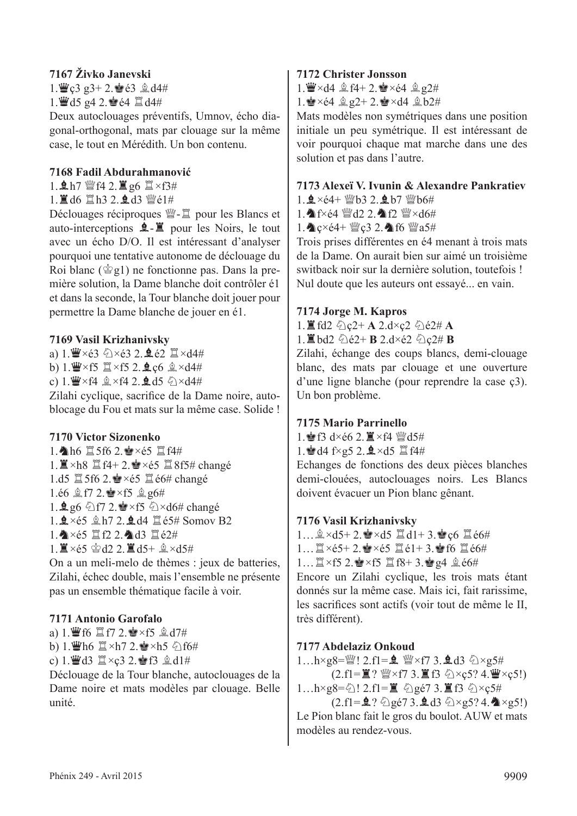#### **7167 Živko Janevski**

 $1.$  $C3$  g3+ 2. $C8$   $63$   $2$ ,  $d4#$  $1.$  $43.942.$ e  $64.2$  d4#

Deux autoclouages préventifs, Umnov, écho diagonal-orthogonal, mats par clouage sur la même case, le tout en Mérédith. Un bon contenu.

#### **7168 Fadil Abdurahmanović**

 $1.$  $0.17$  營f4 2. 直g6  $1 \times f3#$ 

1. ■ d6 Ⅲ h3 2. ● d3 幽é1#

Déclouages réciproques  $\mathcal{L}$  =  $\mathcal{L}$  pour les Blancs et auto-interceptions  $\hat{\mathbf{L}}$ - $\hat{\mathbf{L}}$  pour les Noirs, le tout avec un écho D/O. Il est intéressant d'analyser pourquoi une tentative autonome de déclouage du Roi blanc ( $\dot{\mathcal{Q}}$ g1) ne fonctionne pas. Dans la première solution, la Dame blanche doit contrôler é1 et dans la seconde, la Tour blanche doit jouer pour permettre la Dame blanche de jouer en é1.

#### **7169 Vasil Krizhanivsky**

a)  $1. \mathbf{W} \times 63 \quad \odot \times 63$  2.  $\mathbf{Q} \times 62$   $\mathbf{X} \times 0.44$ 

- b) 1. $\mathbf{W} \times f5 \mathbf{X} \times f5$  2.  $\mathbf{Q} \cdot c6 \mathbf{X} \times d4$ #
- c) 1. $\mathbf{W} \times$ f4  $\mathbf{Q} \times$ f4 2. $\mathbf{Q}$ d5  $\mathbf{Q} \times d4$ #

Zilahi cyclique, sacrifice de la Dame noire, autoblocage du Fou et mats sur la même case. Solide !

#### **7170 Victor Sizonenko**

1.  $h6 \ncong 5f6 2.$  $\approx \times 65 \ncong f4#$ 1.  $\mathbb{Z} \times$ h8  $\mathbb{Z}$  f4+ 2. $\mathbb{Q} \times 65$   $\mathbb{Z}$  8f5# changé 1.d5  $\mathbb{Z}$  5f6 2. $\mathbb{Z} \times 65$   $\mathbb{Z}$   $66\#$  changé 1.é6  $$ff2$ .  $\times$ f5  $$g6#$ 1.  $\mathbf{2}$  g6  $\circ$  f7 2.  $\bullet$  × f5  $\circ$  × d6# changé  $1.9 \times 65$   $h7$  2.  $h4$   $h3$   $65#$  Somov B2 1. <  $\times$ é5 罝f2 2. ad3 罝é2#  $1. \n\mathbb{I} \times 65 \cong d2$  2.  $\mathbb{I} \times d5 + \mathbb{I} \times d5$ #

On a un meli-melo de thèmes : jeux de batteries, Zilahi, échec double, mais l'ensemble ne présente pas un ensemble thématique facile à voir.

#### **7171 Antonio Garofalo**

a)  $1.$  We fo  $E$  for  $2.$  Pe  $\times$  for  $2.$   $2.17#$ b) 1. $\mathbf{\ddot{w}}$ h6  $\mathbf{\ddot{u}} \times h$ 7 2. $\mathbf{\dot{w}} \times h$ 5  $\Diamond$ 16# c) 1. Wed3  $\Xi \times c3$  2. Pf3  $\triangle$  d1#

Déclouage de la Tour blanche, autoclouages de la Dame noire et mats modèles par clouage. Belle unité.

#### **7172 Christer Jonsson**

1.  $\mathbf{W} \times \mathbf{d}4 \triangleq 14 + 2.$   $\mathbf{W} \times 64 \triangleq 24$ 

1.  $\angle x \in 4$   $\angle g2 + 2$ .  $\angle x \in \angle 4$   $\angle g2 \neq$ 

Mats modèles non symétriques dans une position initiale un peu symétrique. Il est intéressant de voir pourquoi chaque mat marche dans une des solution et pas dans l'autre.

#### **7173 Alexeï V. Ivunin & Alexandre Pankratiev**

 $1.9 \times 64 + 100 \times 3.29 = 617.100$ 

1. F $\times$ é4  $\mathbb{W}$ d2 2. T2  $\mathbb{W} \times$ d6#

1. Cxe4+  $\mathbb{W}$ c3 2. The  $\mathbb{W}$ a5#

Trois prises différentes en é4 menant à trois mats de la Dame. On aurait bien sur aimé un troisième switback noir sur la dernière solution, toutefois ! Nul doute que les auteurs ont essayé... en vain.

#### **7174 Jorge M. Kapros**

 $1.$ **E** fd2  $\&$  c2+ **A** 2.d×c2  $\&$  e2# **A** 

 $1.$ **E** bd2  $\&$  e2+ **B** 2.d×é2  $\&$  c2# **B** 

Zilahi, échange des coups blancs, demi-clouage blanc, des mats par clouage et une ouverture d'une ligne blanche (pour reprendre la case ç3). Un bon problème.

#### **7175 Mario Parrinello**

1.  $f3 \, dx \neq 6$  2.  $\mathbb{Z} \times 64$   $\mathbb{W}$ d5#

1.  $d4 f \times g5 2.2 \times d5 \nE44$ 

Echanges de fonctions des deux pièces blanches demi-clouées, autoclouages noirs. Les Blancs doivent évacuer un Pion blanc gênant.

#### **7176 Vasil Krizhanivsky**

 $1...$  $2 \times d5 + 2.$  $4 \times d5$   $1 + 3.$ ec6  $1 \times 64$  $1...$  $\mathbb{Z} \times 65+ 2.$  $\mathbb{Z} \times 65$   $\mathbb{Z} \times 61+ 3.$  $\mathbb{Z} \times 66$ #  $1...$   $\mathbb{Z} \times$  f5  $2.$  $\bullet$   $\times$  f5  $\mathbb{Z}$  f8+ 3. $\bullet$  g4  $\mathbb{Q}$  é6# Encore un Zilahi cyclique, les trois mats étant

donnés sur la même case. Mais ici, fait rarissime, les sacrifices sont actifs (voir tout de même le II, très différent).

#### **7177 Abdelaziz Onkoud**

1…h×g8= $\mathbb{W}$ ! 2.f1= $\mathbf{\underline{0}}$   $\mathbb{W}$ ×f7 3. $\mathbf{\underline{0}}$ d3  $\Diamond$ ×g5#  $(2.f1=\mathbb{E}$ ?  $\mathbb{W}\times f7$  3.  $\mathbb{E}$  f3  $\Diamond \times c$ 5? 4. $\mathbb{W}\times c$ 5!)

 $1...h \times g8 = \frac{1}{2}$ !  $2.f1 = \mathbb{Z}$   $\oplus g67$   $3.\mathbb{Z}$  f3  $\oplus \times g5\#$ 

 $(2.f1=\pm ? \text{ Qg\'e7 3.}\pm d3 \text{ Qxg5? 4.}\pm xg5!)$ Le Pion blanc fait le gros du boulot. AUW et mats modèles au rendez-vous.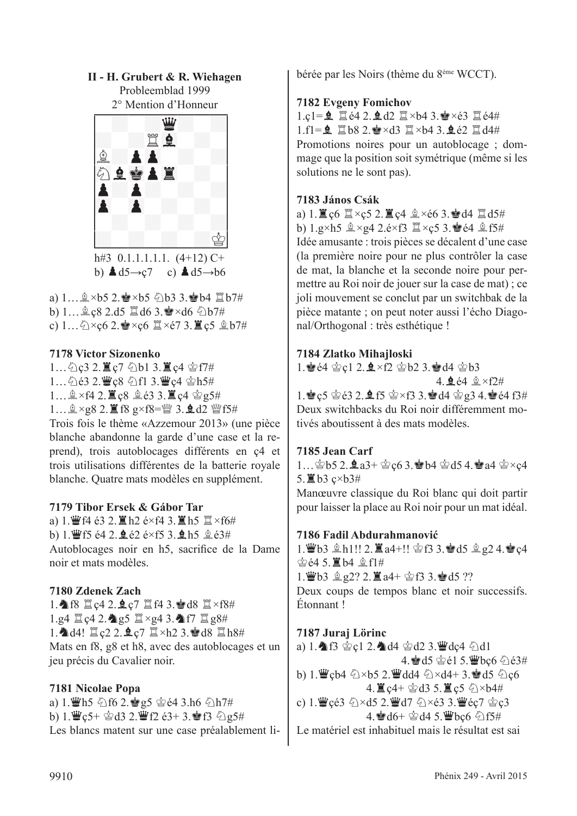#### **II - H. Grubert & R. Wiehagen** Probleemblad 1999



b)  $\triangle d5 \rightarrow c7$  c)  $\triangle d5 \rightarrow b6$ 

a)  $1...$  $2 \times b$ 5 2. $\bullet \times b$ 5  $2b$ 3 3. $\bullet b$ 4  $1 \times b$ 7#

b)  $1...$  $2 \csc 8$  2.d5  $\ddot{2}$  d6 3. $\dot{3} \times$ d6  $\ddot{2}$ b7#

c)  $1...\bigcirc \times c6$  2.  $\bullet \times c6$   $\mathbb{Z} \times c7$  3.  $\mathbb{Z}$  c5  $\&$  b7#

#### **7178 Victor Sizonenko**

1... 公c3 2. 置c7 公b1 3. 置c4 含f7# 1... ②é3 2. 曹ç8 公f1 3. 曹ç4 含h5#  $1...$  $2 \times$ f4 2.  $\mathbb{Z}$ ç8  $2 \times 63$  3.  $\mathbb{Z}$ ç4  $2 \times 5 \#$  $1...$   $2 \times g8$  2.  $1 \times g \times f8 =$  2 3.  $1 \times g \times f5$ # Trois fois le thème «Azzemour 2013» (une pièce blanche abandonne la garde d'une case et la re-

prend), trois autoblocages différents en ç4 et trois utilisations différentes de la batterie royale blanche. Quatre mats modèles en supplément.

#### **7179 Tibor Ersek & Gábor Tar**

a)  $1.$  W f4 é3 2.  $\Xi$  h2 é×f4 3.  $\Xi$  h5  $\Xi$  ×f6# b) 1. Ff5 é4 2.  $2e^{2}$  é $\times$ f5 3.  $2h5$   $2e^{3#}$ Autoblocages noir en h5, sacrifice de la Dame noir et mats modèles.

#### **7180 Zdenek Zach**

1. 16 Tc4 2. Qc7 Tf4 3. d8 T×f8#  $1.g4 \nsubseteq c4$  2.  $\bigcirc$ g5  $\cong \times g4$  3.  $\bigcirc$ f7  $\cong g8$ #  $1.$   $\triangle$  d4!  $\angle$  c2 2.  $\angle$  c7  $\angle$  ×h2 3.  $\angle$  d8  $\angle$  h8# Mats en f8, g8 et h8, avec des autoblocages et un jeu précis du Cavalier noir.

#### **7181 Nicolae Popa**

a) 1. Th5  $\circled{1}$  f6 2.  $\circled{1}$  g5  $\circled{2}$  é4 3.h6  $\circled{1}$  h7# b) 1. $\mathbf{W}$ c5+ $\mathbf{\hat{\otimes}}$ d3 2. $\mathbf{W}$ f2 é3+ 3. $\mathbf{\hat{\otimes}}$ f3  $\mathbf{\hat{\otimes}}$ e5# Les blancs matent sur une case préalablement libérée par les Noirs (thème du 8ème WCCT).

#### **7182 Evgeny Fomichov**

 $1.c1 = 2$   $1e4 2.2 d2$   $1e43.2 \times 63$   $1e44$  $1.f1 = 2$   $168 2.$   $\approx \times$ d3  $1 \times 64 3.$   $262$   $144$ Promotions noires pour un autoblocage ; dommage que la position soit symétrique (même si les solutions ne le sont pas).

#### **7183 János Csák**

a) 1.  $\mathbb{Z}$  c6  $\mathbb{Z} \times c$ 5 2.  $\mathbb{Z}$  c4  $\mathbb{Q} \times c$ 6 3.  $\mathbb{Z}$  d4  $\mathbb{Z}$  d5# b)  $1.g\times h5 \trianglelefteq \times g4$   $2.e\times f3 \trianglelefteq \times c5$  3.  $\bullet$  é4  $\trianglelefteq$  f5# Idée amusante : trois pièces se décalent d'une case (la première noire pour ne plus contrôler la case de mat, la blanche et la seconde noire pour permettre au Roi noir de jouer sur la case de mat) ; ce joli mouvement se conclut par un switchbak de la pièce matante ; on peut noter aussi l'écho Diagonal/Orthogonal : très esthétique !

#### **7184 Zlatko Mihajloski**

1.  $464$   $C1$  2.  $4 \times 12$   $C1$   $C2$   $A$   $C1$   $C3$  $4.9.64.2 \times 12#$ 

1.  $\bullet$  c5  $\circledcirc$  é3 2.  $\bullet$  f5  $\circledcirc$  xf3 3.  $\bullet$  d4  $\circledcirc$  g3 4.  $\bullet$  é4 f3# Deux switchbacks du Roi noir différemment motivés aboutissent à des mats modèles.

#### **7185 Jean Carf**

1… $\circledast$ b5 2. $\bullet$ a3+ $\circledast$ c6 3. $\bullet$ b4  $\circledast$ d5 4. $\bullet$ a4  $\circledast \times$ c4 5.  $\mathbb{E}$  b3  $c \times b$ 3#

Manœuvre classique du Roi blanc qui doit partir pour laisser la place au Roi noir pour un mat idéal.

#### **7186 Fadil Abdurahmanović**

 $1.$  $\mathbf{\ddot{w}}$ b3  $\mathbf{\hat{p}}$ h1!! 2. $\mathbf{\ddot{z}}$ a4+!!  $\mathbf{\dot{\hat{e}}}$ f3 3. $\mathbf{\dot{\hat{e}}}\,d5$   $\mathbf{\hat{q}}$   $2$  4. $\mathbf{\dot{\hat{e}}}$ c4  $\hat{\otimes}$   $64$  5.  $\hat{\mathbb{Z}}$  b4  $\hat{\otimes}$  f1#  $1.$  $4.63$   $2.2$ ?  $2.1$  $4 + 2.63$   $3.4$   $d5$  ?? Deux coups de tempos blanc et noir successifs. Étonnant !

#### **7187 Juraj Lörinc**

a) 1.  $\text{A}$  f3  $\text{C}$  c1 2.  $\text{A}$  d4  $\text{C}$  d2 3. We dc4  $\text{C}$  d1 4. d5 §é1 5. Vbc6 2é3# b) 1. 曾çb4 公×b5 2. 曾dd4 公×d4+ 3. 會d5 公c6  $4.$   $\mathbb{Z}$  c4+  $\mathcal{Q}$  d3 5.  $\mathbb{Z}$  c5  $\mathcal{Q} \times$  b4# c) 1. $\mathbf{F}$ çé3  $\Diamond \times d$ 5 2. $\mathbf{F}$ d7  $\Diamond \times$ é3 3. $\mathbf{F}$ éç7  $\Diamond$ c3  $4.$  $\bullet$  d6+  $\circledcirc$  d4 5. We bc6  $\circledcirc$  f5# Le matériel est inhabituel mais le résultat est sai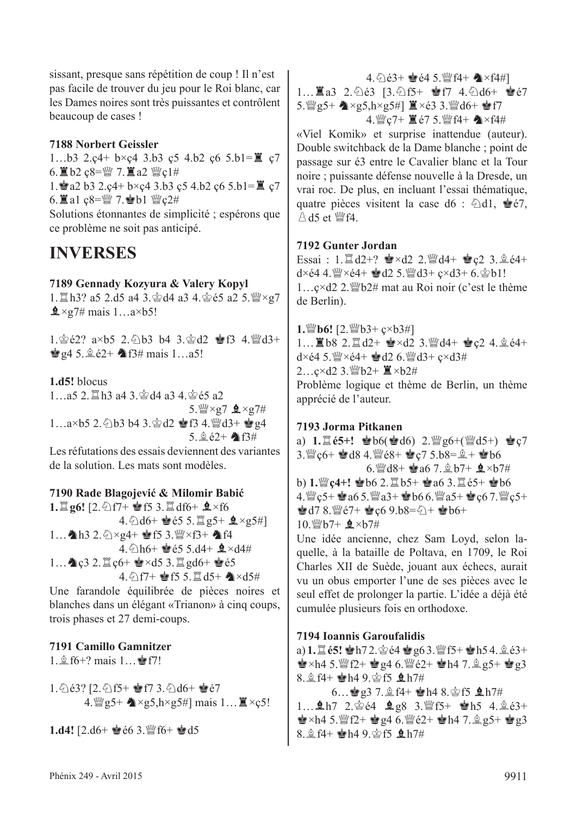sissant, presque sans répétition de coup ! Il n'est pas facile de trouver du jeu pour le Roi blanc, car les Dames noires sont très puissantes et contrôlent beaucoup de cases !

#### **7188 Norbert Geissler**

1...b3 2.c4+ b×c4 3.b3 c5 4.b2 c6 5.b1= $\mathbb{Z}$  c7 6.  $\angle 6.02$  ç8= $\angle 7.2$  a2  $\angle 2$   $\angle 1#$ 1. a2 b3 2.c4+ b×c4 3.b3 c5 4.b2 c6 5.b1= $\mathbb{Z}$  c7 6.  $\mathbb{Z}$  a1  $c8 = \frac{m}{2}$  7.  $\mathbb{Z}$  b1  $\mathbb{Z}$   $c2#$ Solutions étonnantes de simplicité ; espérons que ce problème ne soit pas anticipé.

#### **INVERSES**

#### **7189 Gennady Kozyura & Valery Kopyl**

1. In3? a5 2.d5 a4 3. ad4 a3 4. as 65 a2 5. as × g7  $\frac{1}{2} \times 27$ # mais 1…a×b5!

1. $\&e{2}$ ? a×b5 2. $\&e{b}3$  b4 3. $\&e{d}2 \cong f3$  4. $\&e{d}3+$  $\bullet$  g4 5.  $\&$  é2+  $\bullet$  f3# mais 1...a5!

#### **1.d5!** blocus

1...a5 2. 置h3 a4 3. 含d4 a3 4. 含é5 a2  $5.$  (2×g7  $2 \times g7$ #  $1...a \times b$ 5 2.  $\circled{1}b$ 3 b4 3.  $\circled{2}d2 \circled{f}34.$  W $d3+$   $\circled{g}4$  $5.9.62 + 16.63#$ 

Les réfutations des essais deviennent des variantes de la solution. Les mats sont modèles.

#### **7190 Rade Blagojević & Milomir Babić**

**1.** $\Xi$  **g6!** [2.  $\triangle$  f7+  $\bullet$  f5 3. $\Xi$  df6+  $\clubsuit$  ×f6 4.  $\triangle$ d6+  $\triangle$ é5 5.  $\triangle$  g5+  $\triangle$ ×g5#] 1...  $h3 2.$   $\Diamond$   $\times$   $g4+$   $g$  f5 3.  $\mathcal{Q} \times f3+$   $h4$  f4  $4.6$ h6+  $\bullet$ é5 5.d4+  $\bullet$ ×d4# 1… $\triangle$ c $3$  2. $\triangle$ c $6+$   $\triangleq$ ×d $5$  3. $\triangleq$  gd $6+$   $\triangleq$ e $5$  $4.$   $\frac{6}{17}$  +  $\frac{6}{15}$  f5 5.  $\frac{6}{14}$  d5+  $\frac{6}{17}$  xd5#

Une farandole équilibrée de pièces noires et blanches dans un élégant «Trianon» à cinq coups, trois phases et 27 demi-coups.

#### **7191 Camillo Gamnitzer**

 $1.\hat{2}$  f6+? mais  $1...\hat{2}$  f7!

1. 263? [2. 2f5+ @f7 3. 2d6+ @67 4.  $\mathscr{L}$ g5+  $\mathscr{L} \times$ g5, h×g5#] mais 1...  $\mathbb{Z} \times$ ç5!

**1.d4!**  $[2. d6 + \cdot 66 3. \cdot 66 + \cdot 66 3]$ 

4.cé3+ Ré4 5.def4+ C×f4#]

 $1...$  $3.3$   $2.6$ ) $63$   $[3.6]$  $5+$   $9.67$   $4.6$  $d6+$   $8.67$  $5.$  [[[g] g5+  $\triangle x$ g5, h×g5#]  $\triangle x \in 3$  3. [[[g] d6+  $\triangle f7$ 4. *g*c7+ **i** é7 5. *g*f4+  $\triangle$  ×f4#

«Viel Komik» et surprise inattendue (auteur). Double switchback de la Dame blanche ; point de passage sur é3 entre le Cavalier blanc et la Tour noire ; puissante défense nouvelle à la Dresde, un vrai roc. De plus, en incluant l'essai thématique, quatre pièces visitent la case d6 :  $\triangle$ d1,  $\triangle$ e7,  $\triangle$  d5 et  $\mathbb{W}$ f4.

#### **7192 Gunter Jordan**

Essai :  $1. \mathbb{Z}$ d2+?  $\mathbf{\hat{z}} \times d2$  2. $\mathbb{Z}$ d4+  $\mathbf{\hat{z}}$ c2 3. $\mathbb{\hat{z}}$ e4+  $d \times 64$  4.  $\frac{36}{2} \times 64 + \frac{1}{2} d2$  5.  $\frac{16}{2} d3 + c \times d3 + 6$ .  $\frac{1}{2} b1!$  $1...$ c×d2 2. $\mathbb{W}$ b2# mat au Roi noir (c'est le thème de Berlin).

**1.***y*<sub>b6</sub>! [2. *y*<sub>b3+ ç×b3#]</sub>  $1...$  **1** b8 2.  $\Box$  d2+  $\bullet \times$ d2 3. $\Box$ d4+  $\bullet$ c2 4.  $\Diamond$  e4+  $d \times 64$  5.  $\frac{M}{2} \times 64 + \frac{1}{2} d2$  6.  $\frac{M}{2} d3 + c \times d3#$  $2...c \times d2$  3. 彎  $b2+$   $\ddot{=}$   $\times b2#$ Problème logique et thème de Berlin, un thème apprécié de l'auteur.

#### **7193 Jorma Pitkanen**

a)  $1. \mathbb{Z}$   $65+!$   $\bullet$   $b6$ ( $\bullet$   $d6$ )  $2.$   $\mathbb{Z}$   $g6 + (\mathbb{Z}d5+)$   $\bullet$   $c7$  $3.$   $\%$  c6+  $\approx$  d8 4.  $\%$  é8+  $\approx$  c7 5.b8= $\frac{6}{2}$  +  $\approx$  b6 6. @d8+ @a6 7.  $\&$  b7+  $\&$  ×b7# b) 1.  $\mathbb{Q}$ c4+!  $\bullet$  b6 2.  $\mathbb{Z}$  b5+  $\bullet$  a6 3.  $\mathbb{Z}$  e5+  $\bullet$  b6  $4.$ ues  $25 + 2a65.$ ues  $a3 + 2b66.$ ues  $a5 + 2c67.$ ues  $c5 +$  $\bullet$ d7 8. @e7+  $\bullet$ c6 9.b8= $2 + \bullet$ b6+  $10 \frac{\text{W}}{\text{B}}h7 + \frac{\text{e}}{\text{B}} \times h7\text{#}$ 

Une idée ancienne, chez Sam Loyd, selon laquelle, à la bataille de Poltava, en 1709, le Roi Charles XII de Suède, jouant aux échecs, aurait vu un obus emporter l'une de ses pièces avec le seul effet de prolonger la partie. L'idée a déjà été cumulée plusieurs fois en orthodoxe.

#### **7194 Ioannis Garoufalidis**

a) **1.** [**é5!**  $\bullet$ h7 2.  $\circledcirc$  é4  $\bullet$ g6 3. [f5+  $\bullet$ h5 4.  $\circledcirc$  é3+  $\mathbf{e} \times \mathbf{h}$ 4 5.  $\mathbf{e}$  f2+  $\mathbf{e} \cdot \mathbf{e}$  and 6. We c2+  $\mathbf{e} \cdot \mathbf{h}$  4 7.  $\mathbf{e} \cdot \mathbf{e}$  and  $\mathbf{e}$  and  $\mathbf{e}$ 8.  $$4+$  eh4 9.  $$5$   $$h7#$ 

 $6...$ @ g3 7.  $2f4+$  @ h4 8.  $2f5$  Q h7#  $1...$ **Q**h7 2. $\circledcirc$  e4 **Q** g8 3. [f]  $5 + \circledcirc$  h5 4. $\circledcirc$  e3+  $\bullet$  ×h4 5.  $\mathbb{W}$ f2+  $\bullet$  g4 6.  $\mathbb{W}$ é2+  $\bullet$  h4 7.  $\circ$  g5+  $\bullet$  g3 8.  $$f4+$  Mh4 9. \$f5 \$h7#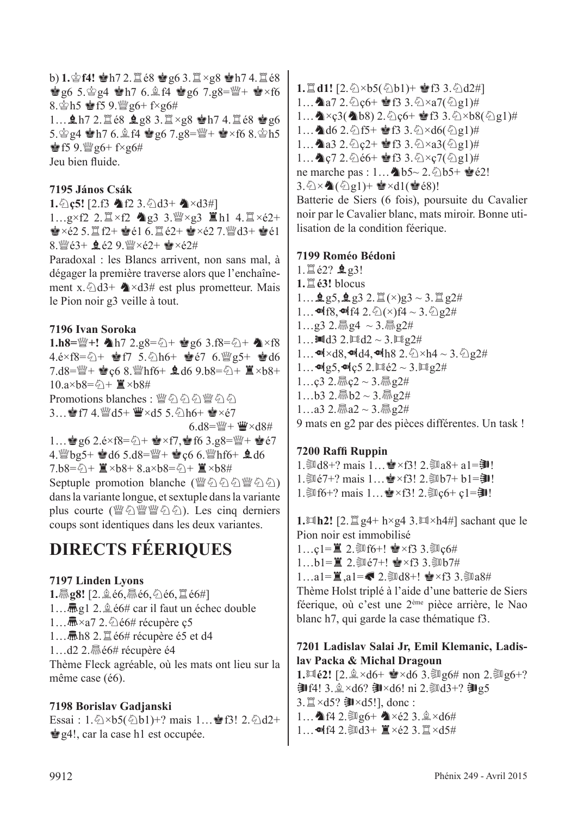$b)$  **1.** $\circ$ **f4!**  $\bullet$ **h**7 2. $\dot{\Xi}$   $\circ$ 8  $\bullet$ g6 3. $\ddot{\Xi} \times$ g8  $\bullet$ h7 4. $\ddot{\Xi}$   $\circ$ 8  $\dot{\mathbf{g}}$  g6 5. $\dot{\mathbf{g}}$  g4  $\dot{\mathbf{g}}$  h7 6.  $\hat{\mathbf{g}}$  f4  $\dot{\mathbf{g}}$  g6 7.g8= $\ddot{\mathbf{g}}$ +  $\dot{\mathbf{g}} \times$  f6 8. $\Phi$ h5  $\Phi$ f5 9. $\mathcal{Q}_9$ 6+ f×g6# 1...  $ln 7$  2. 168  $log 8$  3. 1×g8  $ln 7$  4. 168  $log 6$ 5. $\frac{6}{9}$ g4  $\frac{1}{2}$ h7 6. $\frac{6}{9}$ f4  $\frac{1}{9}$ g6 7.g8= $\frac{100}{9}$ +  $\frac{1}{9}$ ×f6 8. $\frac{6}{9}$ h5  $§$ f5 9. $%$ g6+ f×g6# Jeu bien fluide.

#### **7195 János Csák**

**1.** $\Diamond$ **c5!** [2.f3  $\Diamond$  f2 3. $\Diamond$ d3+  $\Diamond$ ×d3#] 1…g×f2 2. $\mathbb{Z}$ ×f2  $\spadesuit$ g3 3. $\mathbb{W}$ ×g3  $\mathbb{Z}$ h1 4. $\mathbb{Z}$ ×é2+  $\mathbf{E} \times 62.5$ .  $\ddot{\mathbf{I}}$  f2+  $\mathbf{E}$ e $1.6$ .  $\ddot{\mathbf{I}}$   $62+$   $\mathbf{E} \times 62.7$ .  $\ddot{\mathbf{I}}$  and  $3+$   $\mathbf{E}$ e $1$ . 8.  $8 \le 63 + 9.629 \le x62 + 8 \times 624$ 

Paradoxal : les Blancs arrivent, non sans mal, à dégager la première traverse alors que l'enchaînement x. $\triangle$ d3+  $\triangle$ ×d3# est plus prometteur. Mais le Pion noir g3 veille à tout.

#### **7196 Ivan Soroka**

**1.h8=** $\frac{w}{2}$ **+! ∂h7** 2.g8= $\frac{z}{2}$ +  $\frac{1}{2}$ g6 3.f8= $\frac{z}{2}$ + ∂×f8  $4.6 \times f8 = \frac{c}{4} + \frac{e}{3}f7 + 5.6h6 + \frac{e}{3}f7 + 6.9g5 + \frac{e}{3}g6$ 7.d8= $\mathbb{Q}$ +  $\mathbf{e}$ c6 8. $\mathbb{Q}$ hf6+  $\mathbf{e}$ d6 9.b8= $\mathbb{Q}$ +  $\mathbf{E} \times b$ 8+ 10.a×b8= $\hat{\varphi}$  +  $\hat{\mathbb{I}}$  ×b8# Promotions blanches · 瞥めめめ響めめ 3…會f7 4. 營d5+ 豐×d5 5. @h6+ 會×é7  $6. d8 = \frac{M}{2} + \frac{W}{2} \times d84$ 1… $\bullet$  g6 2.é×f8= $\ddot{Q}$ +  $\bullet$ ×f7, $\bullet$  f6 3.g8= $\ddot{W}$ +  $\bullet$ e7 4. When  $5. d8 = W + 8c66$ . Which  $6. d6$  $7.b8 = \hat{2} + \hat{z} \times b8 + 8.a \times b8 = \hat{2} + \hat{z} \times b8 +$ Septuple promotion blanche (豐公公公豐公公) dans la variante longue, et sextuple dans la variante plus courte (營公營營公公). Les cinq derniers coups sont identiques dans les deux variantes.

#### **DIRECTS FÉERIQUES**

#### **7197 Linden Lyons**

**1. 愿g8!** [2.  $\triangleq$  é6, 愿é6, ②é6, 罝é6#] 1…愿g1 2. $\triangleq$ é6# car il faut un échec double 1… $\mathbf{\bar{R}}$ ×a7 2. $\Diamond$ é6# récupère c5 1... **氚h8 2.**  $\mathbb{Z}$  é6# récupère é5 et d4 1...d2 2. $\frac{1}{600}$ é6# récupère é4 Thème Fleck agréable, où les mats ont lieu sur la même case (é6).

#### **7198 Borislav Gadjanski**

Essai :  $1.\hat{\triangle} \times b5(\hat{\triangle} b1)+?$  mais  $1...$   $\bullet$  f3!  $2.\hat{\triangle} d2+$  $\triangleq$ g4!, car la case h1 est occupée.

**1.** $\Box$ **d1!** [2. $\Diamond$ ×b5( $\Diamond$ b1)+  $\circ$  f3 3. $\Diamond$ d2#] 1… a7 2.  $C_0$ c6+  $\bullet$  f3 3.  $\& \times a7$ ( $\& 21$ )# 1...  $\triangle \times c3$ ( $\triangle$ b8) 2. $\triangle$ c6+  $\triangle$ f3 3. $\triangle \times b8$ ( $\triangle$ g1)# 1...  $\triangleleft$  d6 2.  $\triangleq$  f5+  $\triangleq$  f3 3.  $\triangle\times$  d6( $\triangleq$  g1)# 1... a3 2.  $2c2 +$  F3 3.  $2 \times a3(2g1)$ # 1...  $Q \circ 7$  2.  $\& 66 + Q \circ 3$ .  $\& \& c7(\& 2.91)$ # ne marche pas : 1... **4**b5~ 2. 2b5+  $\bullet$ é2!  $3.\overline{\Diamond}\times\clubsuit(\overline{\Diamond}\boxtimes 1)+\bullet\cong\times d1(\bullet\bullet\acute{\ e}8)!$ 

Batterie de Siers (6 fois), poursuite du Cavalier noir par le Cavalier blanc, mats miroir. Bonne utilisation de la condition féerique.

#### **7199 Roméo Bédoni**

 $1.$  $(2)$   $(2)$   $(2)$ **1.**t**é3!** blocus  $1...$  **g** g5, **g** g3 2.  $\ddot{\Xi}$  (×)g3 ~ 3.  $\ddot{\Xi}$  g2# 1… $\blacksquare$ f8, $\blacksquare$ f4 2. $\lozenge$ (×)f4 ~ 3. $\lozenge$  g2# 1…g3 2. $\frac{3}{1}$ g4 ~ 3. $\frac{3}{1}$ g2# 1... $\text{Md}3$  2.  $\text{Md}2 \sim 3$ .  $\text{Mg}2\#$ 1... $\blacktriangleleft x$ d8, $\blacktriangleleft d4$ , $\blacktriangleleft d$ h8 2. $\triangleleft x$ h4 ~ 3. $\triangleleft$ e2# 1... $\omega$ <sub>1</sub>g5, $\omega$ <sub>1</sub>c5 2. $\Xi$ <sub>62</sub> ~ 3. $\Xi$ <sub>2</sub>2# 1…ç3 2. $\frac{1}{6}$ ç2 ~ 3. $\frac{1}{6}$ g2# 1…b3 2. $\overline{m}$ b2 ~ 3. $\overline{m}$ g2# 1…a3 2. $\frac{3}{1}$ a2 ~ 3. $\frac{3}{1}$ e2# 9 mats en g2 par des pièces différentes. Un task !

#### **7200 Raffi Ruppin**

1. 1. 18+? mais 1... • × f3! 2. ③ a8+ a1=3!  $1.$  ③ $e7+$ ? mais  $1...$  <  $x$   $(3! 2.$  ③ $b7+ b1=31!$  $1.\overline{\$}$ f6+? mais  $1...$ 會×f3!  $2.\overline{\$}$ c6+ c1=卽!

**1.** $\Box$ **h2!** [2. $\Box$  g4+ h×g4 3. $\Box$ **x**h4#] sachant que le Pion noir est immobilisé 1…c1= $\mathbb{Z}$  2.  $\mathbb{S}$ 16+!  $\mathbb{Z}$ ×f3 3. $\mathbb{S}$ 1c6# 1…b1= $\mathbb{Z}$  2. $\mathbb{Z}$  $(3 + 1)$   $\mathbb{Z}$   $\times$   $(3 \cdot \mathbb{Z})$ 1…a1= $\Xi$ .a1= $\Box$ 2. 208+!  $\bullet$ ×f3 3. 20a8# Thème Holst triplé à l'aide d'une batterie de Siers

féerique, où c'est une 2ème pièce arrière, le Nao blanc h7, qui garde la case thématique f3.

#### **7201 Ladislav Salai Jr, Emil Klemanic, Ladislav Packa & Michal Dragoun**

**1.** $\ln 62!$  [2. $\& \times d6+ \& \times d6$  3. $\sin g6#$  non 2. $\sin g6+$ ?  $\mathbf{H}^{4!}$  3. $\& \times$ d6?  $\mathbf{H} \times$ d6! ni 2. 动d3+? ヨg5  $3.\n **3.3** \times d5? \n **3.45**$  $1...$  1  $142.3096+$   $\times$   $62.3.2 \times d6#$  $1...$  에 $f4$  2. ③ $d3+$   $\mathbb{I} \times 62$  3.  $\mathbb{I} \times d5$ #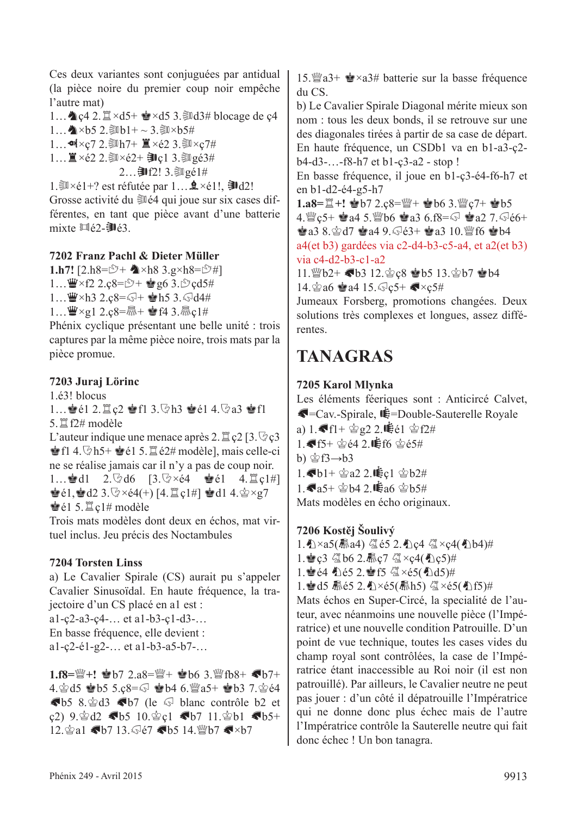Ces deux variantes sont conjuguées par antidual (la pièce noire du premier coup noir empêche l'autre mat)

1...  $\triangle$  c4 2.  $\cong \times d5$ +  $\cong \times d5$  3.  $\cong d3$ # blocage de c4

 $1...$   $\bigwedge^{\bullet}$  ×b5 2. ③b1+ ~ 3. ③×b5#

1… $\cdot \cdot \cdot$  2. Mh7+  $\mathbb{Z} \times 62$  3. M $\times$ c7#

1... ■×é2 2. ③×é2+ ●c1 3. ③gé3#

 $2...$  ]  $f2!3.$  , ③  $g61#$ 

1. $\mathbb{R}\times 1+$ ? est réfutée par  $1...$  $\mathbb{R}\times 1!$ ,  $\mathbb{R}\times 1!$ 

Grosse activité du  $\mathcal{H}$  4 qui joue sur six cases différentes, en tant que pièce avant d'une batterie mixte  $\mathbb{H}$ é2- $\mathbb{H}$ é3.

#### **7202 Franz Pachl & Dieter Müller**

**1.h7!**  $[2.h8 = \mathcal{D} + \triangle \times h8 \cdot 3.9 \times h8 = \mathcal{D} \#]$  $1...$  $4 \times f2$  2.c8= $5+$   $2.056$  3. $5 \text{cd}$ 5#  $1...$  W×h3 2.c8= $\sqrt{3}$ + Mh5 3. $\sqrt{3}$ d4#  $1...$   $\mathbf{W} \times \mathbf{g} 1$  2.c8= $\mathbf{R} + \mathbf{e}$  f4 3. $\mathbf{R}$ c1#

Phénix cyclique présentant une belle unité : trois captures par la même pièce noire, trois mats par la pièce promue.

#### **7203 Juraj Lörinc**

1.é3! blocus

1...  $\bullet$ é1 2.  $\circ$ c2  $\bullet$ f1 3.  $\circ$ h3  $\bullet$ é1 4. $\circ$ a3  $\bullet$ f1  $5. \mathbb{Z}$  f2# modèle

L'auteur indique une menace après 2.  $\mathbb{Z}$  c2 [3.  $\mathbb{Q}$  c3  $\bullet$  f1 4.  $\circ$ h5+  $\bullet$ é1 5.  $\sharp$ é2# modèle], mais celle-ci ne se réalise jamais car il n'y a pas de coup noir.

1… $\cdot$ ed1 2. $\cdot$ d6 [3. $\cdot$ s $\times$ é4  $\cdot$ eé1 4. $\cdot$ gc1#]  $\bullet$  é1,  $\bullet$  d2 3.  $\circ$  × é4(+) [4.  $\mathbb{Z}$  c1#]  $\bullet$  d1 4.  $\circledcirc$  × g7  $\triangleq$ él 5. $\triangleq$ c1# modèle

Trois mats modèles dont deux en échos, mat virtuel inclus. Jeu précis des Noctambules

#### **7204 Torsten Linss**

a) Le Cavalier Spirale (CS) aurait pu s'appeler Cavalier Sinusoïdal. En haute fréquence, la trajectoire d'un CS placé en a1 est :

a1-ç2-a3-ç4-… et a1-b3-ç1-d3-… En basse fréquence, elle devient : a1-ç2-é1-g2-… et a1-b3-a5-b7-…

 $1.$ f8= $\mathbb{W}$ +!  $\mathbf{\dot{e}}$ b7 2.a8= $\mathbb{W}$ +  $\mathbf{\dot{e}}$ b6 3. $\mathbb{W}$ fb8+  $\mathbf{\&b7+}$  $4.$  $\&$ d5  $\&$ b5 5.c8= $\bigtriangledown$   $\&$ b4 6. $\mathbb{W}$ a5+  $\&$ b3 7. $\&$ e4  $\blacklozenge$ b5 8. $\triangleq$ d3  $\blacklozenge$ b7 (le  $\heartsuit$  blanc contrôle b2 et c2)  $9.$ \$d2 Gb5 10.\$c1 Gb7 11.\$b1 Gb5+  $12.\n$ gal Gb7 13. Ge7 Gb5 14. Wb7 G×b7

15. wa3+  $\bullet \times a3$ # batterie sur la basse fréquence du CS.

b) Le Cavalier Spirale Diagonal mérite mieux son nom : tous les deux bonds, il se retrouve sur une des diagonales tirées à partir de sa case de départ. En haute fréquence, un CSDb1 va en b1-a3-ç2 b4-d3-…-f8-h7 et b1-ç3-a2 - stop !

En basse fréquence, il joue en b1-ç3-é4-f6-h7 et en b1-d2-é4-g5-h7

**1.a8=** $\mathbb{E}$ **+! 會b7 2.ç8=** $\mathbb{W}$ **+ 會b6 3.** $\mathbb{W}$ **c7+ 會b5** 

4.  $\%$ c5+  $\bullet$ a4 5.  $\%$ b6  $\bullet$ a3 6.f8= $\odot$   $\bullet$ a2 7.  $\odot$ e6+  $\bullet$  a3 8. $\circ$ d7  $\bullet$  a4 9. $\circ$ e3+  $\bullet$  a3 10.  $\circ$  f6  $\bullet$  b4 a4(et b3) gardées via c2-d4-b3-c5-a4, et a2(et b3)

via c4-d2-b3-c1-a2

11. @b2+ <br />b3 12. @c8 @b5 13. @b7 @b4 14. $\textcircled{a}$ 8  $\textcircled{a}$ 4 15. $\textcircled{c}$ 5+  $\blacktriangleleft$ ×c5#

Jumeaux Forsberg, promotions changées. Deux solutions très complexes et longues, assez différentes.

## **TANAGRAS**

#### **7205 Karol Mlynka**

Les éléments féeriques sont : Anticircé Calvet,  $\blacksquare$ =Cav.-Spirale,  $\blacksquare$ =Double-Sauterelle Royale a)  $1.$   $\mathbf{F}1 + \mathbf{F}2$  g2 2.  $\mathbf{F}61 \oplus 124$  $1.$  Gf5+  $\triangleq$ 64 2. Wff6  $\triangleq$ 65# b)  $\hat{\otimes}$  f3 $\rightarrow$ b3  $1.$ h1+ $\&$ a2 2. $\&$ c1  $\&$ b2# 1.  $a5+$  \$b4 2.  $\mathbf{\dot{E}}$ a6 \$b5# Mats modèles en écho originaux.

#### **7206 Kostěj Šoulivý**

1. 个×a5(赢a4) 《é5 2. 个c4 《 ×c4(4)b4)#

1. e c3 個b6 2. ic7 個×c4(4 c5)#

1. gé4 个é5 2. gf5 《×é5(4)d5)#

1. 曾d5 扇é5 2. ①×é5(扇h5) 《《×é5(4)f5)#

Mats échos en Super-Circé, la specialité de l'auteur, avec néanmoins une nouvelle pièce (l'Impératrice) et une nouvelle condition Patrouille. D'un point de vue technique, toutes les cases vides du champ royal sont contrôlées, la case de l'Impératrice étant inaccessible au Roi noir (il est non patrouillé). Par ailleurs, le Cavalier neutre ne peut pas jouer : d'un côté il dépatrouille l'Impératrice qui ne donne donc plus échec mais de l'autre l'Impératrice contrôle la Sauterelle neutre qui fait donc échec ! Un bon tanagra.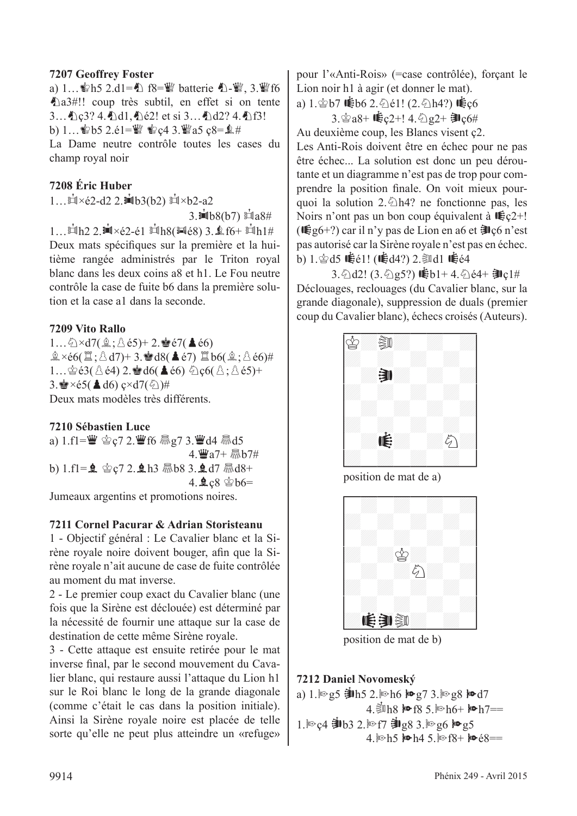#### **7207 Geoffrey Foster**

a) 1...  $\mathbb{S}h5$  2.d1=4) f8= $\mathbb{S}$  batterie 4)- $\mathbb{S}$ , 3. $\mathbb{S}$ f6 a3#!! coup très subtil, en effet si on tente 3... Le3? 4. Le41, Le2! et si 3... Le42? 4. Le41 b)  $1...$   $b$   $b$  5  $2.61 =$   $\frac{100}{3}$   $c$   $4$   $3.$   $\frac{100}{3}$   $c$   $8 =$   $\frac{6}{3}$   $\#$ La Dame neutre contrôle toutes les cases du

champ royal noir

#### **7208 Éric Huber**

 $1...$  $\mathbb{Z} \times 62 - d2$  2. $\mathbb{Z} \times 63(62)$   $\mathbb{Z} \times 62 - a2$ 

 $3.\dot{=}1b8(b7) \dot{=}1a8#$ 

1… $\sinh 2$  2. $\sinh 2$  +  $\sinh 2$  +  $\sinh 2$  +  $\sinh 2$  +  $\sinh 2$  +  $\sinh 2$  +  $\sinh 2$  +  $\sinh 2$  +  $\sinh 2$  +  $\sinh 2$  +  $\sinh 2$  +  $\sinh 2$  +  $\sinh 2$  +  $\sinh 2$  +  $\sinh 2$  +  $\sinh 2$  +  $\sinh 2$  +  $\sinh 2$  +  $\sinh 2$  +  $\sinh 2$  +  $\sinh 2$  + Deux mats spécifiques sur la première et la huitième rangée administrés par le Triton royal blanc dans les deux coins a8 et h1. Le Fou neutre contrôle la case de fuite b6 dans la première solution et la case a1 dans la seconde.

#### **7209 Vito Rallo**

 $1...\bigcirc \times d7(\hat{2}:\triangle \acute{e}5)+2.\stackrel{\triangle}{=}67(\triangle \acute{e}6)$  $\hat{\mathbb{E}} \times 66(\hat{\mathbb{E}};\hat{\triangle} d7) + 3.$   $\hat{\mathbb{E}} d8(\triangle 67) \stackrel{\text{d}}{\mathbb{E}} b6(\hat{\mathbb{E}};\hat{\triangle} 66)$ # 1… $\triangle$ é3( $\triangle$ é4) 2. $\triangle$ d6( $\triangle$ é6)  $\triangle$ ç6( $\triangle$ ; $\triangle$ é5)+ 3.  $\angle$  ×é5( $\triangle$ d6) ç×d7( $\Diamond$ )# Deux mats modèles très différents.

**7210 Sébastien Luce** a)  $1.f1 = \frac{w}{2}$   $\leq$   $2.\frac{w}{2}$  f6  $\frac{m}{2}$  g7 3. $\frac{w}{2}$  d4  $\frac{m}{2}$  d5  $4.$  $\ddot{w}a7+$   $\ddot{m}b7\ddot{t}$ b)  $1.f1 = 2$   $2.2.113$   $5.83.2 d7$   $5.8348 +$ 4. kc8 含b6=

Jumeaux argentins et promotions noires.

#### **7211 Cornel Pacurar & Adrian Storisteanu**

1 - Objectif général : Le Cavalier blanc et la Sirène royale noire doivent bouger, afin que la Sirène royale n'ait aucune de case de fuite contrôlée au moment du mat inverse.

2 - Le premier coup exact du Cavalier blanc (une fois que la Sirène est déclouée) est déterminé par la nécessité de fournir une attaque sur la case de destination de cette même Sirène royale.

3 - Cette attaque est ensuite retirée pour le mat inverse final, par le second mouvement du Cavalier blanc, qui restaure aussi l'attaque du Lion h1 sur le Roi blanc le long de la grande diagonale (comme c'était le cas dans la position initiale). Ainsi la Sirène royale noire est placée de telle sorte qu'elle ne peut plus atteindre un «refuge» pour l'«Anti-Rois» (=case contrôlée), forçant le Lion noir h1 à agir (et donner le mat).

a)  $1.\dot{\text{ } }57$   $\mathbf{\dot{\bullet}}$   $166$   $2.\ddot{\odot}$   $61!$   $(2.\ddot{\odot}$  h4?)  $\mathbf{\dot{\bullet}}$   $\mathbf{c}6$ 

 $3.\n$ 宫a8+  $\mathbf{C}$ c2+!  $4.\n$ 2g2+ ヨ $c6#$ 

Au deuxième coup, les Blancs visent ç2. Les Anti-Rois doivent être en échec pour ne pas être échec... La solution est donc un peu déroutante et un diagramme n'est pas de trop pour comprendre la position finale. On voit mieux pourquoi la solution 2. $\triangle$ h4? ne fonctionne pas, les Noirs n'ont pas un bon coup équivalent à  $\mathbf{E}$ <sub>5</sub> $2+!$ ( $\mathbf{E}_{g6}$ +?) car il n'y pas de Lion en a6 et  $\mathbf{F}_{g6}$  n'est pas autorisé car la Sirène royale n'est pas en échec. b) 1. $\circledast$ d5  $\dot{\mathbf{\mathbb{F}}}$ é1! ( $\dot{\mathbf{\mathbb{F}}}$ d4?) 2. $\circledast$ d1  $\dot{\mathbf{\mathbb{F}}}$ é4

 $3.$   $\Diamond$  d2! (3. $\Diamond$  e5?)  $\dot{$ feb1+4.  $\Diamond$  é4+  $\dot{=}$  c1# Déclouages, reclouages (du Cavalier blanc, sur la grande diagonale), suppression de duals (premier coup du Cavalier blanc), échecs croisés (Auteurs).





#### **7212 Daniel Novomeský**

a)  $1.$   $\degree$  e5  $\frac{1}{2}$  h5 2.  $\degree$  h6  $\frac{1}{2}$   $\degree$  e7 3.  $\degree$  e8  $\frac{1}{2}$   $\degree$  e7 4. $\sinh 8$  M  $f8$  5.  $\ln 6 + \ln 7 =$ 1. lo c4 **勤b3 2**. lo f7 **勤g8 3. lo g6 lo g5** 4.  $\ln 5$   $\ln 4$  5.  $\ln 68$   $\ln 68$  ==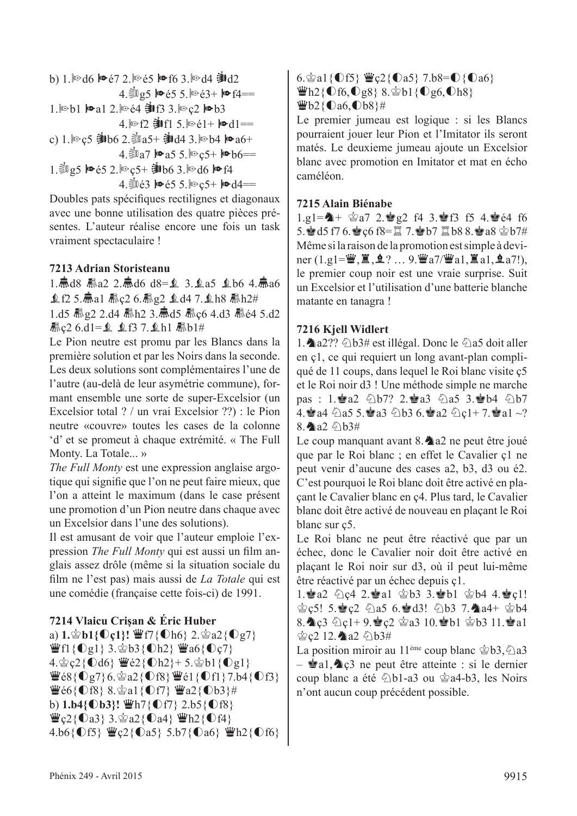b) 1. 
$$
\text{Im } d6
$$
  $\text{Im } 67$  2.  $\text{Im } 65$   $\text{Im } 66$  3.  $\text{Im } d4$   $\frac{1}{2}$   $d2$   
4.  $\frac{5}{2}$   $\text{Im } 5$   $\text{Im } 65$  5.  $\text{Im } 63 + \text{Im } 14 ==$   
1.  $\text{Im } b1$   $\text{Im } a1$  2.  $\text{Im } 64$   $\frac{1}{2}$   $d13$  3.  $\text{Im } c2$   $\text{Im } b3$   
4.  $\text{Im } f2$   $\frac{1}{2}$   $d11$  5.  $\text{Im } 61 + \text{Im } d1 ==$   
c) 1.  $\text{Im } c5$   $\frac{1}{2}$   $\text{Im } 62$ .  $\frac{5}{2}$   $\text{Im } a5 + \frac{1}{2}$   $d14$  3.  $\text{Im } b4$   $\text{Im } a6 +$   
4.  $\frac{5}{2}$   $\text{Im } a7$   $\text{Im } a5$  5.  $\text{Im } c5 + \text{Im } b6 ==$   
1.  $\frac{5}{2}$   $\text{Im } g5$   $\text{Im } 65$  2.  $\text{Im } c5 + \frac{1}{2}$   $\text{Im } 63$ .  $\text{Im } d6$   $\text{Im } f4$   
4.  $\frac{5}{2}$   $\text{Im } 63$   $\text{Im } c5 + \text{Im } d4 ==$ 

Doubles pats spécifiques rectilignes et diagonaux avec une bonne utilisation des quatre pièces présentes. L'auteur réalise encore une fois un task vraiment spectaculaire !

#### **7213 Adrian Storisteanu**

1.贏d8 驫a2 2.贏d6 d8=  $\Omega$  3.  $\Omega$ a5  $\Omega$ b6 4.贏a6  $$6125.$   $$a1$   $$x26.$   $$g2$$  $$d47.$   $$h8$   $$h2#$ 1.d5 赢g2 2.d4 赢h2 3.赢d5 赢c6 4.d3 赢é4 5.d2 **氚c2 6.d1=鱼 鱼f3 7.鱼h1 ib1#** 

Le Pion neutre est promu par les Blancs dans la première solution et par les Noirs dans la seconde. Les deux solutions sont complémentaires l'une de l'autre (au-delà de leur asymétrie commune), formant ensemble une sorte de super-Excelsior (un Excelsior total ? / un vrai Excelsior ??) : le Pion neutre «couvre» toutes les cases de la colonne 'd' et se promeut à chaque extrémité. « The Full Monty. La Totale... »

*The Full Monty* est une expression anglaise argotique qui signifie que l'on ne peut faire mieux, que l'on a atteint le maximum (dans le case présent une promotion d'un Pion neutre dans chaque avec un Excelsior dans l'une des solutions).

Il est amusant de voir que l'auteur emploie l'expression *The Full Monty* qui est aussi un film anglais assez drôle (même si la situation sociale du film ne l'est pas) mais aussi de *La Totale* qui est une comédie (française cette fois-ci) de 1991.

#### **7214 Vlaicu Crişan & Éric Huber**

a)  $1.\hat{\otimes} b1\{\hat{\mathbb{O}}c1\}$ !  $\hat{\mathbb{P}}$ f7{ $\hat{\mathbb{O}}$ h6}  $2.\hat{\otimes} a2\{\hat{\mathbb{O}}g7\}$  $\mathbf{\ddot{w}}$ f1{**Og1}** 3. $\mathbf{\ddot{\otimes}}$ b3{**Oh2}**  $\mathbf{\ddot{w}}$ a6{**O**c7}  $4.\n\circledcirc$   $c2\{\n\text{Od6}\}\n\cong\n\circledcirc2\{\n\text{Oh2}\}\n+ 5.\n\circledcirc b1\{\n\text{Og1}\}\n$  $\ddot{\mathbf{\Psi}}$ é8{ $\mathbf{0}$ g7} 6. $\dot{\mathbf{\Phi}}$ a2{ $\mathbf{0}$ f8} $\ddot{\mathbf{\Psi}}$ é1{ $\mathbf{0}$ f1} 7.b4{ $\mathbf{0}$ f3}  $\Psi$ é6{ $\bigcirc$ f8} 8. $\circledast$ a1{ $\bigcirc$ f7}  $\Psi$ a2{ $\bigcirc$ b3}# **b)** 1.b4{ $\text{Ob}3$ !  $\text{Wh7}$ { $\text{Of7}$ } 2.b5{ $\text{Of8}$ }  $\mathbf{\ddot{w}}$ c2{ $\mathbf{0}$ a3} 3. $\mathbf{\dot{\otimes}}$ a2{ $\mathbf{0}$ a4}  $\mathbf{\ddot{\otimes}}$ h2{ $\mathbf{0}$ f4} 4.b6{ $O$ f5}  $\mathscr{L}_c$ 2{ $O$ a5} 5.b7{ $O$ a6}  $\mathscr{L}_c$ h2{ $O$ f6}

6. $\hat{\mathscr{E}}$ a1{**Of5}**  $\hat{\mathscr{E}}$ **c2{<b>O**a5} 7.b8=**O**{**O**a6}  $\mathbf{\ddot{w}}$ h2{**Of6,Og8**} 8. $\dot{\mathbf{\dot{\otimes}}}$ b1{**Og6,Oh8**}

#### $\Psi$ b2{ $\mathbb{O}$ a6, $\mathbb{O}$ b8}#

Le premier jumeau est logique : si les Blancs pourraient jouer leur Pion et l'Imitator ils seront matés. Le deuxieme jumeau ajoute un Excelsior blanc avec promotion en Imitator et mat en écho caméléon.

#### **7215 Alain Biénabe**

 $1.91 = A + \triangle 37$   $2.8g2$  f4  $3.8g13$  f5  $4.8g64$  f6 5. d5 f7 6.  $\circ$  c6 f8= $\Xi$  7.  $\circ$  b7  $\Xi$  b8 8.  $\circ$  a8  $\circ$  b7# Même si la raison de la promotion est simple à deviner  $(1, g1 = \dddot{\mathbf{w}}, \ddot{\mathbf{z}}, \dot{\mathbf{z}}\, ? \dots 9. \dddot{\mathbf{w}}a7/\ddot{\mathbf{w}}a1, \ddot{\mathbf{z}}\, a1, \dot{\mathbf{z}}\, a7!)$ , le premier coup noir est une vraie surprise. Suit un Excelsior et l'utilisation d'une batterie blanche matante en tanagra !

#### **7216 Kjell Widlert**

1.  $\triangle$  a2??  $\triangle$  b3# est illégal. Donc le  $\triangle$  a5 doit aller en ç1, ce qui requiert un long avant-plan compliqué de 11 coups, dans lequel le Roi blanc visite ç5 et le Roi noir d3 ! Une méthode simple ne marche pas : 1.2a2 4b7? 2.2a3 4a5 3.2b4 4b7 4. a4  $\triangle$ a5 5. a3  $\triangle$ b3 6. a2  $\triangle$ c1+ 7. a1 ~? 8. a2  $\triangle$ b3#

Le coup manquant avant  $8.$   $\triangle$  a2 ne peut être joué que par le Roi blanc ; en effet le Cavalier ç1 ne peut venir d'aucune des cases a2, b3, d3 ou é2. C'est pourquoi le Roi blanc doit être activé en plaçant le Cavalier blanc en ç4. Plus tard, le Cavalier blanc doit être activé de nouveau en plaçant le Roi blanc sur ç5.

Le Roi blanc ne peut être réactivé que par un échec, donc le Cavalier noir doit être activé en plaçant le Roi noir sur d3, où il peut lui-même être réactivé par un échec depuis ç1.

1.2a2  $\Diamond$ c4 2.2a1  $\Diamond$ b3 3.2b1  $\Diamond$ b4 4.2c1!  $\circ$ c5! 5. $\circ$ c2  $\circ$ a5 6. $\circ$ d3!  $\circ$ b3 7. $\bullet$ a4+  $\circ$ b4 8. c3  $C1+9.$ ec2  $2310.8 b1 203 11.8 a1$  $\&c2$  12. a2  $&\&b3#$ 

La position miroir au 11<sup>ème</sup> coup blanc  $\dot{\mathscr{L}}$ b3, $\ddot{\mathscr{L}}$ a3  $\dot{Q}$ a1, $\dot{Q}$  $Q$  ne peut être atteinte : si le dernier coup blanc a été  $\triangle$ b1-a3 ou  $\triangle$ a4-b3, les Noirs n'ont aucun coup précédent possible.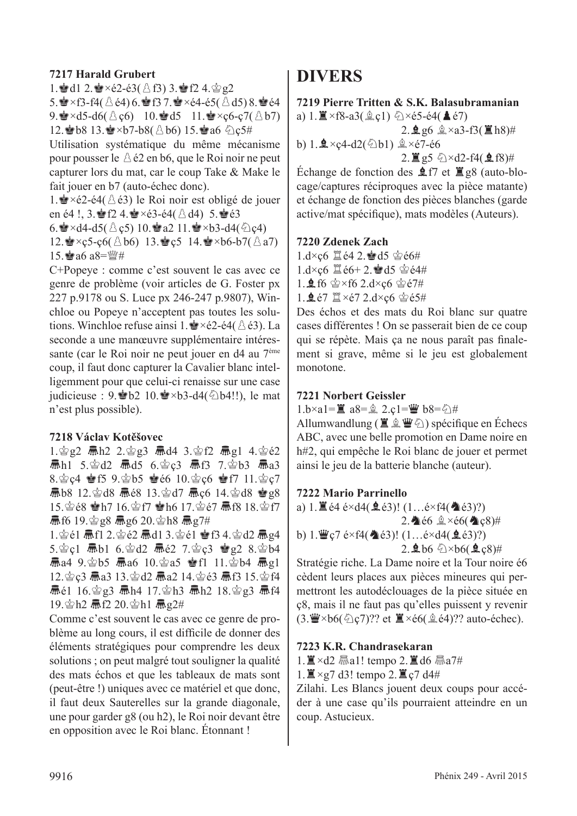#### **7217 Harald Grubert**

1. d1 2.  $\bullet \times 62 - 63$  ( $\triangle$  f3) 3.  $\bullet$  f2 4.  $\triangle$  g2

5.  $\cdot$   $\times$  f3-f4( $\triangle$  é4) 6.  $\cdot$  f3 7.  $\cdot$   $\times$  e4-é5( $\triangle$  d5) 8.  $\cdot$  e4 9.  $\angle \times d5$ -d6( $\triangle$  c6) 10.  $\angle d5$  11.  $\angle \times c6$ -c7( $\triangle b7$ ) 12. b8 13.  $\times b7-b8(8b6)$  15. a6  $2c5#$ 

Utilisation systématique du même mécanisme pour pousser le  $\triangle$  é2 en b6, que le Roi noir ne peut capturer lors du mat, car le coup Take & Make le fait jouer en b7 (auto-échec donc).

1.  $\bullet$  ×é2-é4( ∆ é3) le Roi noir est obligé de jouer en é4 !, 3. Pf2 4.  $\bullet \times 63 - 64$ ( $\land$ d4) 5.  $\bullet$ e3

6.  $\angle$  ×d4-d5( $\triangle$  c5) 10.  $\angle$  a2 11.  $\angle$  ×b3-d4( $\triangle$  c4) 12.  $\bullet$  × ç 5-ç 6( $\triangle$  b6) 13.  $\bullet$  c 5 14.  $\bullet$  × b6-b7( $\triangle$  a7) 15 $a6a8=W#$ 

C+Popeye : comme c'est souvent le cas avec ce genre de problème (voir articles de G. Foster px 227 p.9178 ou S. Luce px 246-247 p.9807), Winchloe ou Popeye n'acceptent pas toutes les solutions. Winchloe refuse ainsi 1. $\triangle \times 62$ -é4( $\triangle \times 3$ ). La seconde a une manœuvre supplémentaire intéressante (car le Roi noir ne peut jouer en d4 au 7ème coup, il faut donc capturer la Cavalier blanc intelligemment pour que celui-ci renaisse sur une case judicieuse : 9. ∂b2 10.  $\bullet \times b3$ -d4( $\Diamond b4!!$ ), le mat n'est plus possible).

#### **7218 Václav Kotěšovec**

1. 宫g2 扁h2 2. 宫g3 扁d4 3. 宫f2 扁g1 4. 宫é2  $\bar{m}$ h1 5.宫d2  $\bar{m}$ d5 6.宫c3  $\bar{m}$ f3 7.宫b3  $\bar{m}$ a3 8. $\&$  c4  $\&$  f5 9. $\&$  b5  $\&$  e6 10. $\&$  c6  $\&$  f7 11. $\&$  c7  $\overline{R}$ b8 12. $\dot{\otimes}$ d8  $\overline{R}$ é8 13. $\dot{\otimes}$ d7  $\overline{R}$ c6 14. $\dot{\otimes}$ d8  $\dot{\otimes}$ g8 15. 宫é8 曾h7 16. 宫f7 曾h6 17. 宫é7 扁f8 18. 宫f7  $\frac{1}{10}$  if 6 19.  $\frac{1}{3}$  g8  $\frac{1}{3}$  g6 20.  $\frac{1}{3}$  h8  $\frac{1}{3}$  g7#

 $1.\n$ 宫é1 氚f1 2.宫é2 氚d1 3.宫é1 會f3 4.宫d2 氚g4  $5.\,$  $\&$  c1  $\overline{m}$ b1 6. $\&$ d2  $\overline{m}$ é2 7. $\&$  c3  $\&$  g2 8. $\&$ b4  $\overline{m}$ a4 9. $\dot{\otimes}$ b5  $\overline{m}$ a6 10. $\dot{\otimes}$ a5  $\dot{\otimes}$ f1 11. $\dot{\otimes}$ b4  $\overline{m}$ g1 12. gc3 扁a3 13. gd2 扁a2 14. gé3 扁f3 15. gf4  $\overline{R}$ é1 16.宫g3 忌h4 17.宫h3 忌h2 18.宫g3 忌f4 19. h2 扇f2 20. h1 扁g2#

Comme c'est souvent le cas avec ce genre de problème au long cours, il est difficile de donner des éléments stratégiques pour comprendre les deux solutions ; on peut malgré tout souligner la qualité des mats échos et que les tableaux de mats sont (peut-être !) uniques avec ce matériel et que donc, il faut deux Sauterelles sur la grande diagonale, une pour garder g8 (ou h2), le Roi noir devant être en opposition avec le Roi blanc. Étonnant !

#### **DIVERS**

**7219 Pierre Tritten & S.K. Balasubramanian** a)  $1. \mathbb{Z} \times f8 - a3(\hat{\mathbb{Q}} \cdot c1) \oplus \times 65 - 64(\mathbb{A} \cdot 67)$  $2.996 \pm \times a3 - f3(12h8)$ # b)  $1.2 \times c4-d2(\text{ab1})$   $2 \times c7-\text{eb}$  $2. \Xi$  g5  $\oslash \times$ d2-f4( $\triangle$ f8)# Échange de fonction des  $\angle$  f7 et  $\angle$  g8 (auto-blocage/captures réciproques avec la pièce matante) et échange de fonction des pièces blanches (garde active/mat spécifique), mats modèles (Auteurs).

#### **7220 Zdenek Zach**

- $1$  d×c6  $\mathbb{Z}$ é4 2. $\mathbb{Z}$ d5  $\mathbb{Z}$ é6#  $1. d \times c6 \n\mathbb{Z}$ é6+ 2. $d5 \n\mathbb{Z}$ é4# 1.  $\frac{6}{5}$  f6  $\frac{6}{5}$  × f6 2.d×c6  $\frac{6}{5}$  é7#
- 1. $\angle$ é7  $\angle$ ×é7 2.d×c6  $\angle$ é5#

Des échos et des mats du Roi blanc sur quatre cases différentes ! On se passerait bien de ce coup qui se répète. Mais ça ne nous paraît pas finalement si grave, même si le jeu est globalement monotone.

#### **7221 Norbert Geissler**

1.b×a1=■ a8=鱼 2.c1=曹 b8=公#

Allumwandlung ( $\Xi \& \Psi \&$ ) spécifique en Échecs ABC, avec une belle promotion en Dame noire en h#2, qui empêche le Roi blanc de jouer et permet ainsi le jeu de la batterie blanche (auteur).

#### **7222 Mario Parrinello**

a)  $1. \mathbb{E}$  é4 é×d4( $\mathbb{Q}$ é3)! ( $1...$ é×f4( $\mathbb{Q}$ é3)?) 2.  $\bullet$  é6  $\& \times 66$  ( $\bullet$  c8)# b) 1. $\mathbf{W}$ c7 é×f4( $\mathbf{\&}$ é3)! (1…é×d4( $\mathbf{\&}$ é3)?)  $2.966 \times b6(9.8)$ #

Stratégie riche. La Dame noire et la Tour noire é6 cèdent leurs places aux pièces mineures qui permettront les autodéclouages de la pièce située en ç8, mais il ne faut pas qu'elles puissent y revenir  $(3. \mathbf{W} \times b6(\text{Qc7})$ ? et  $\mathbf{X} \times b6(\text{Qc4})$ ? auto-échec).

#### **7223 K.R. Chandrasekaran**

 $1.$   $\mathbb{Z} \times d2$  Maal! tempo 2.  $\mathbb{Z} d6$  Maa $7#$ 

 $1. \mathbb{Z} \times g7$  d3! tempo 2.  $\mathbb{Z} \times g7$  d4#

Zilahi. Les Blancs jouent deux coups pour accéder à une case qu'ils pourraient atteindre en un coup. Astucieux.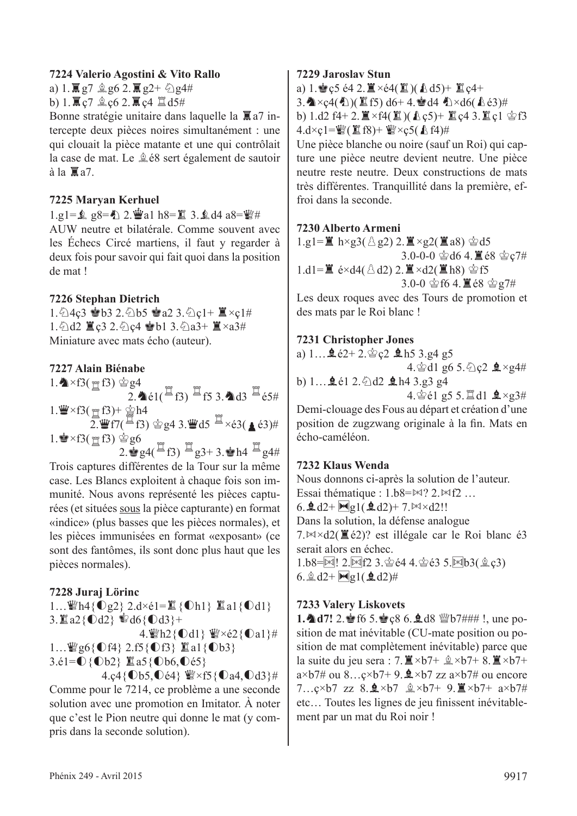#### **7224 Valerio Agostini & Vito Rallo**

a) 1.  $\mathbb{R}$  g7  $\&$  g6 2.  $\mathbb{R}$  g2+  $\&$  g4#

b) 1.  $\mathbb{R}$  c7  $\&$  c6 2.  $\mathbb{R}$  c4  $\&$  d5#

Bonne stratégie unitaire dans laquelle la  $\overline{\mathbb{R}}$  a7 intercepte deux pièces noires simultanément : une qui clouait la pièce matante et une qui contrôlait la case de mat. Le  $\triangleq$  é8 sert également de sautoir  $\lambda$  la  $\overline{\mathbb{E}}$  a7.

#### **7225 Maryan Kerhuel**

 $1.91 = 2.98 = 2.9$   $2.94$  a  $1.8 = 13.2$  d  $4.88 = 1.4$ AUW neutre et bilatérale. Comme souvent avec les Échecs Circé martiens, il faut y regarder à deux fois pour savoir qui fait quoi dans la position de mat !

#### **7226 Stephan Dietrich**

 $1.\text{\textdegreeled{14}}$   $4c3 \text{ \textdegreeled{13}}$   $2.\text{\textdegreeled{15}}$   $65 \text{ \textdegreeled{13}}$   $2.\text{\textdegreeled{14}}$ 1.  $\triangle$ d2  $\angle$  c3 2.  $\triangle$ c4  $\triangle$ b1 3.  $\triangle$ a3+  $\angle$  ×a3# Miniature avec mats écho (auteur).

#### **7227 Alain Biénabe**

 $1.\n\blacktriangle \times f3(\uparrow f3) \circ g4$ 2.  $\triangleq$  é1( $\Xi$  f3)  $\Xi$  f5 3.  $\triangleq$  d3  $\Xi$  é5#  $1.\mathbf{W} \times f3(\mathbf{H}f3) + \mathbf{W}h4$  $2.\overset{\sim}{\mathbf{2}}$ .  $\overset{\sim}{\mathbf{4}}$  f7( $\overset{\sim}{\mathbf{4}}$  f3)  $\overset{\sim}{\mathbf{4}}$  g4 3.  $\overset{\sim}{\mathbf{4}}$  d5  $\overset{\sim}{\mathbf{4}}$   $\times$  é3( $\blacktriangle$  é3)#  $1.\n$ **x**  $f3(\nmid f3)$   $\circledcirc g6$ 2.  $\frac{1}{2}$  g<sub>4</sub>( $\frac{1}{4}$  f<sub>3</sub>)  $\frac{1}{4}$  g<sub>3+</sub> 3.  $\frac{1}{2}$  h4  $\frac{1}{4}$  g<sub>4#</sub>

Trois captures différentes de la Tour sur la même case. Les Blancs exploitent à chaque fois son immunité. Nous avons représenté les pièces capturées (et situées sous la pièce capturante) en format «indice» (plus basses que les pièces normales), et les pièces immunisées en format «exposant» (ce sont des fantômes, ils sont donc plus haut que les pièces normales).

#### **7228 Juraj Lörinc**

1... \frac{\mathb{id{1}{\mathb{c}^2} 2.d×é1= ${\mathbb Z}$ { 0h1}  ${\mathbb Z}$  a1{ 0d1} 3.  $2\{0d2\}$  @  $d6\{0d3\}$  + 4.  $h2$ {  $\text{Od1}$ }  $\mathcal{W} \times 62$  {  $\text{Cal}$  } # 1...  $\mathbb{Q}$ g6{**0**f4} 2.f5{**0**f3}  $\mathbb{Z}$ a1{**0**b3} 3.é1= $\bigcirc$ {Ob2}  $\mathbb{Z}$ a5{Ob6, Oé5} 4.ç4{**0b5,0é4}** *W*×f5{0a4,0d3}#

Comme pour le 7214, ce problème a une seconde solution avec une promotion en Imitator. À noter que c'est le Pion neutre qui donne le mat (y compris dans la seconde solution).

#### **7229 Jaroslav Stun**

a) 1.  $\bullet$  c5 é4 2.  $\mathbb{Z} \times 64(\mathbb{Z})$ ( $\&$  d5)+  $\mathbb{Z}$  c4+  $3.\triangleleft\times c4(\triangleleft))$ ( $\triangleq$ f5) d6+4. $\triangleq$ d4 $\triangleq$  $\times$ d6( $\triangleq$ é3)# b) 1.d2 f4+ 2. $\mathbb{Z} \times$ f4( $\mathbb{Z}$ )( $\mathbb{A}$ c5)+  $\mathbb{Z}$ c4 3. $\mathbb{Z}$ c1  $\circledcirc$ f3  $4.d \times c1 = \mathcal{W}(\mathcal{L}f8) + \mathcal{W} \times c5(\mathcal{L}f4)$ #

Une pièce blanche ou noire (sauf un Roi) qui capture une pièce neutre devient neutre. Une pièce neutre reste neutre. Deux constructions de mats très différentes. Tranquillité dans la première, effroi dans la seconde.

#### **7230 Alberto Armeni**

 $1.g1=\mathbb{Z}$  h×g3( $\triangle$ g2) 2.  $\mathbb{Z} \times$ g2( $\mathbb{Z}$ a8)  $\triangle$ d5 3.0-0-0  $\triangleq$  d6 4.  $\triangleq$  é8  $\triangleq$  c7#  $1.d1=\mathbb{E} \text{ é} \times d4(\triangle d2) 2.\mathbb{E} \times d2(\mathbb{E} \text{ h}8) \triangleq f5$  $3.0 - 0$   $\circledS$  f6 4.  $\mathbb{Z}$  é8  $\circledS$  g7# Les deux roques avec des Tours de promotion et des mats par le Roi blanc !

#### **7231 Christopher Jones**

a)  $1...$   $2e^{2} + 2e^{2}c^{2}$   $2h5$  3.g4 g5 4. $\text{\textdegree } d1$  g6 5. $\text{\textdegree } 2$   $\text{\textdegree } \pm \times g4\#$ b)  $1...$   $2e1$   $2.$   $\odot$   $d2$   $2h4$   $3.$   $g3$   $g4$ 4.  $\circ$  e1 g5 5.  $\sharp$  d1  $\bullet$  ×g3# Demi-clouage des Fous au départ et création d'une

position de zugzwang originale à la fin. Mats en écho-caméléon.

#### **7232 Klaus Wenda**

Nous donnons ci-après la solution de l'auteur. Essai thématique :  $1.b8 = M$ ?  $2.M12...$ 6.  $d2 + Mg1($   $d2) + 7$ .  $M \times d2$ !! Dans la solution, la défense analogue  $7. \bowtie \bowtie 2( \Xi 62)$ ? est illégale car le Roi blanc é3 serait alors en échec.  $1.b8 = M! 2.M12 3.864 4.863 5.M1b3(2.63)$ 6.  $\triangle$  d2+  $\text{Mg1}(\triangle$  d2)#

#### **7233 Valery Liskovets**

1. **4d7!** 2. 曾f6 5.曾ç8 6.皇d8 營b7### !, une position de mat inévitable (CU-mate position ou position de mat complètement inévitable) parce que la suite du jeu sera : 7.  $\mathbb{Z} \times b$ 7+  $\mathbb{Q} \times b$ 7+ 8.  $\mathbb{Z} \times b$ 7+  $a \times b7\#$  ou 8... $c \times b7 + 9$ .  $\triangleleft \times b7$  zz  $a \times b7\#$  ou encore  $7...c \times b7$  zz  $8.\overline{2} \times b7$   $\hat{\mathbb{Q}} \times b7+$   $9.\overline{\mathbb{Z}} \times b7+$   $a \times b7\#$ etc… Toutes les lignes de jeu finissent inévitablement par un mat du Roi noir !